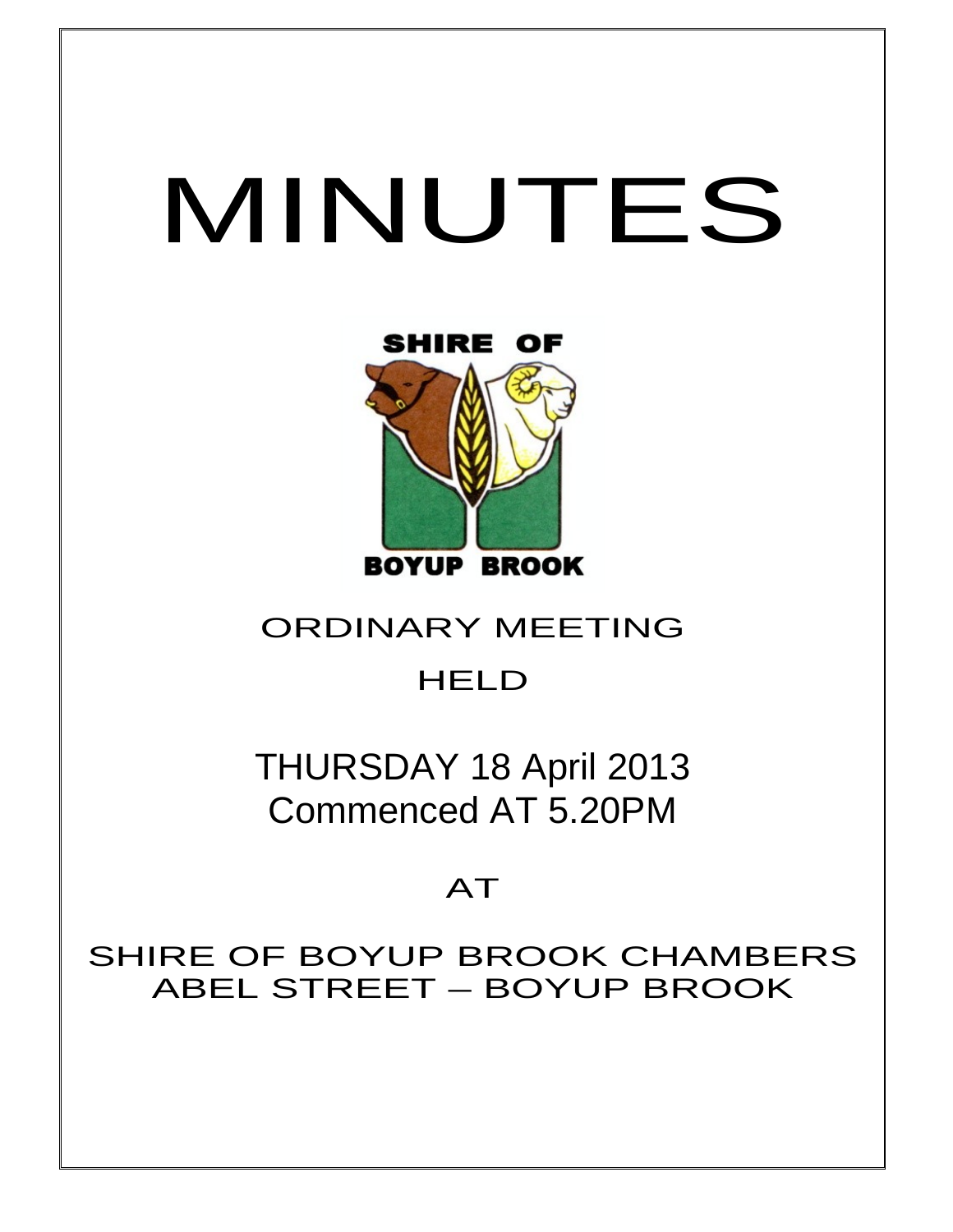# MINUTES



## ORDINARY MEETING

# **HELD**

THURSDAY 18 April 2013 Commenced AT 5.20PM

# AT

SHIRE OF BOYUP BROOK CHAMBERS ABEL STREET – BOYUP BROOK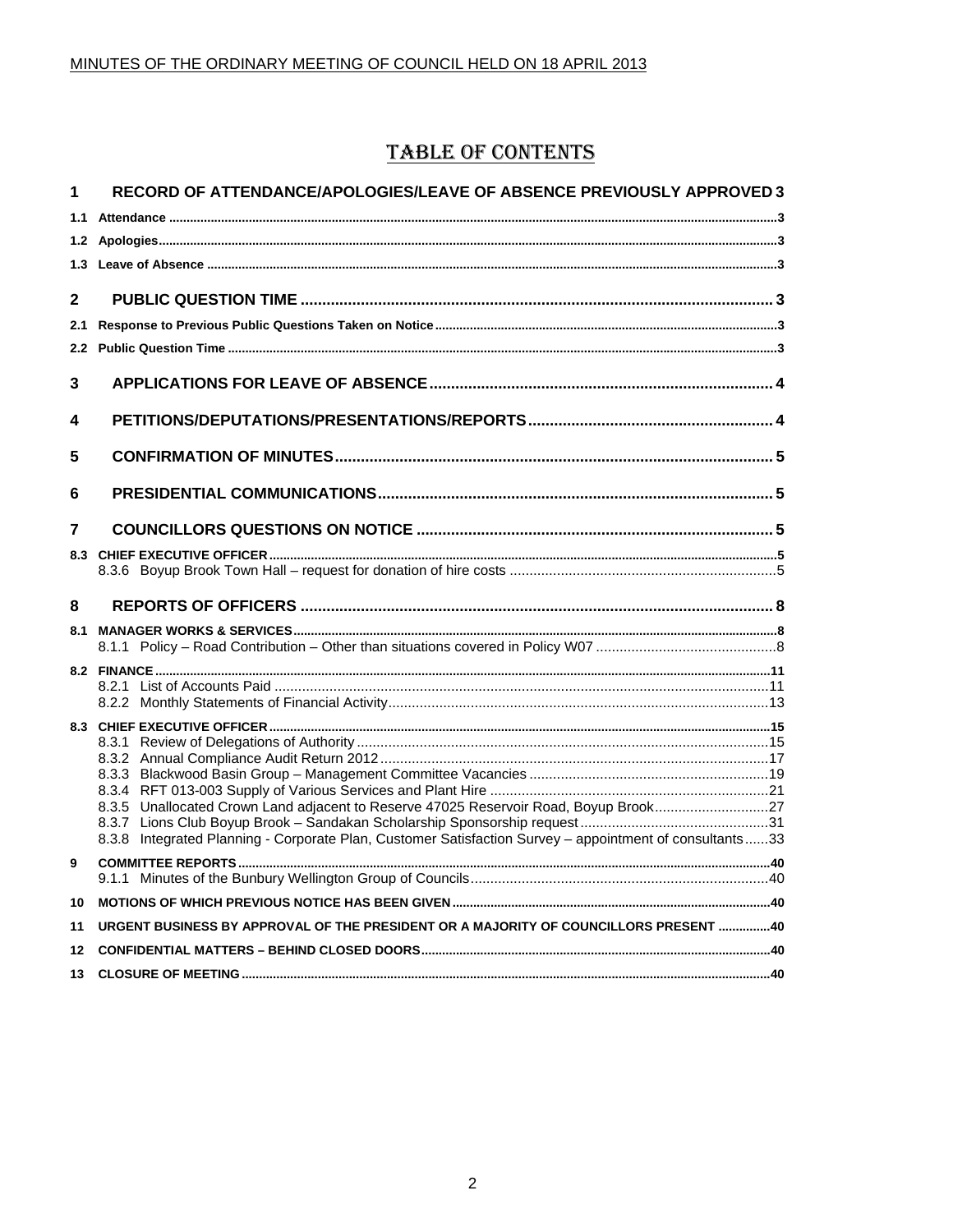## **TABLE OF CONTENTS**

| 1            | RECORD OF ATTENDANCE/APOLOGIES/LEAVE OF ABSENCE PREVIOUSLY APPROVED 3                                   |  |
|--------------|---------------------------------------------------------------------------------------------------------|--|
| 1.1          |                                                                                                         |  |
|              |                                                                                                         |  |
| 1.3          |                                                                                                         |  |
| $\mathbf{2}$ |                                                                                                         |  |
| 2.1          |                                                                                                         |  |
|              |                                                                                                         |  |
| 3            |                                                                                                         |  |
| 4            |                                                                                                         |  |
| 5            |                                                                                                         |  |
| 6            |                                                                                                         |  |
| 7            |                                                                                                         |  |
|              |                                                                                                         |  |
|              |                                                                                                         |  |
| 8            |                                                                                                         |  |
|              |                                                                                                         |  |
|              |                                                                                                         |  |
|              |                                                                                                         |  |
|              |                                                                                                         |  |
|              |                                                                                                         |  |
|              |                                                                                                         |  |
|              |                                                                                                         |  |
|              |                                                                                                         |  |
|              | 8.3.5 Unallocated Crown Land adjacent to Reserve 47025 Reservoir Road, Boyup Brook27                    |  |
|              |                                                                                                         |  |
|              | 8.3.8 Integrated Planning - Corporate Plan, Customer Satisfaction Survey - appointment of consultants33 |  |
| 9            |                                                                                                         |  |
| 10           |                                                                                                         |  |
| 11           | URGENT BUSINESS BY APPROVAL OF THE PRESIDENT OR A MAJORITY OF COUNCILLORS PRESENT 40                    |  |
| 12           |                                                                                                         |  |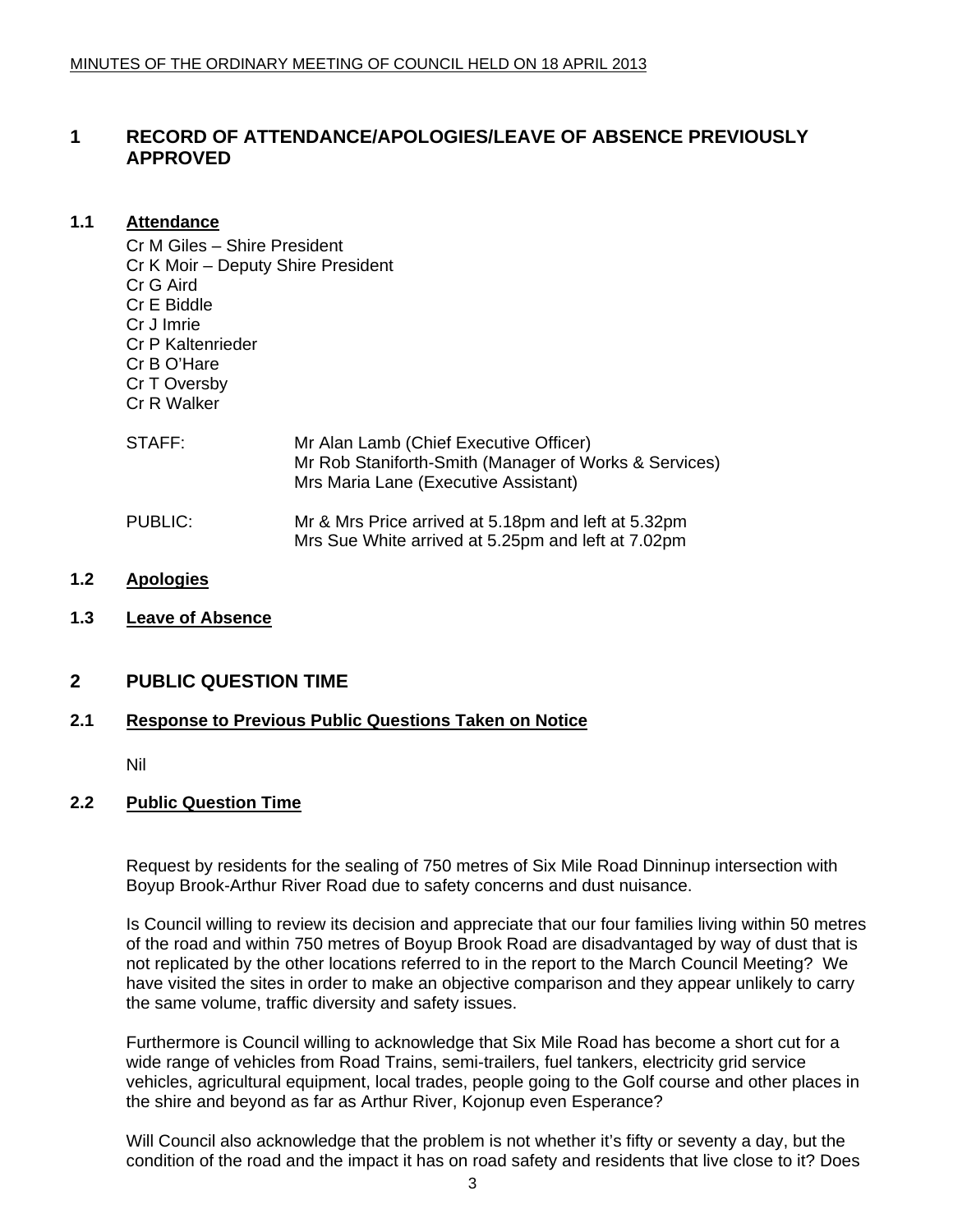#### <span id="page-2-0"></span>**1 RECORD OF ATTENDANCE/APOLOGIES/LEAVE OF ABSENCE PREVIOUSLY APPROVED**

#### **1.1 Attendance**

Cr M Giles – Shire President Cr K Moir – Deputy Shire President Cr G Aird Cr E Biddle Cr J Imrie Cr P Kaltenrieder Cr B O'Hare Cr T Oversby Cr R Walker

| STAFF:  | Mr Alan Lamb (Chief Executive Officer)<br>Mr Rob Staniforth-Smith (Manager of Works & Services)<br>Mrs Maria Lane (Executive Assistant) |
|---------|-----------------------------------------------------------------------------------------------------------------------------------------|
| PUBLIC: | Mr & Mrs Price arrived at 5.18pm and left at 5.32pm<br>Mrs Sue White arrived at 5.25pm and left at 7.02pm                               |

- **1.2 Apologies**
- **1.3 Leave of Absence**

#### **2 PUBLIC QUESTION TIME**

#### **2.1 Response to Previous Public Questions Taken on Notice**

Nil

#### **2.2 Public Question Time**

Request by residents for the sealing of 750 metres of Six Mile Road Dinninup intersection with Boyup Brook-Arthur River Road due to safety concerns and dust nuisance.

Is Council willing to review its decision and appreciate that our four families living within 50 metres of the road and within 750 metres of Boyup Brook Road are disadvantaged by way of dust that is not replicated by the other locations referred to in the report to the March Council Meeting? We have visited the sites in order to make an objective comparison and they appear unlikely to carry the same volume, traffic diversity and safety issues.

Furthermore is Council willing to acknowledge that Six Mile Road has become a short cut for a wide range of vehicles from Road Trains, semi-trailers, fuel tankers, electricity grid service vehicles, agricultural equipment, local trades, people going to the Golf course and other places in the shire and beyond as far as Arthur River, Kojonup even Esperance?

Will Council also acknowledge that the problem is not whether it's fifty or seventy a day, but the condition of the road and the impact it has on road safety and residents that live close to it? Does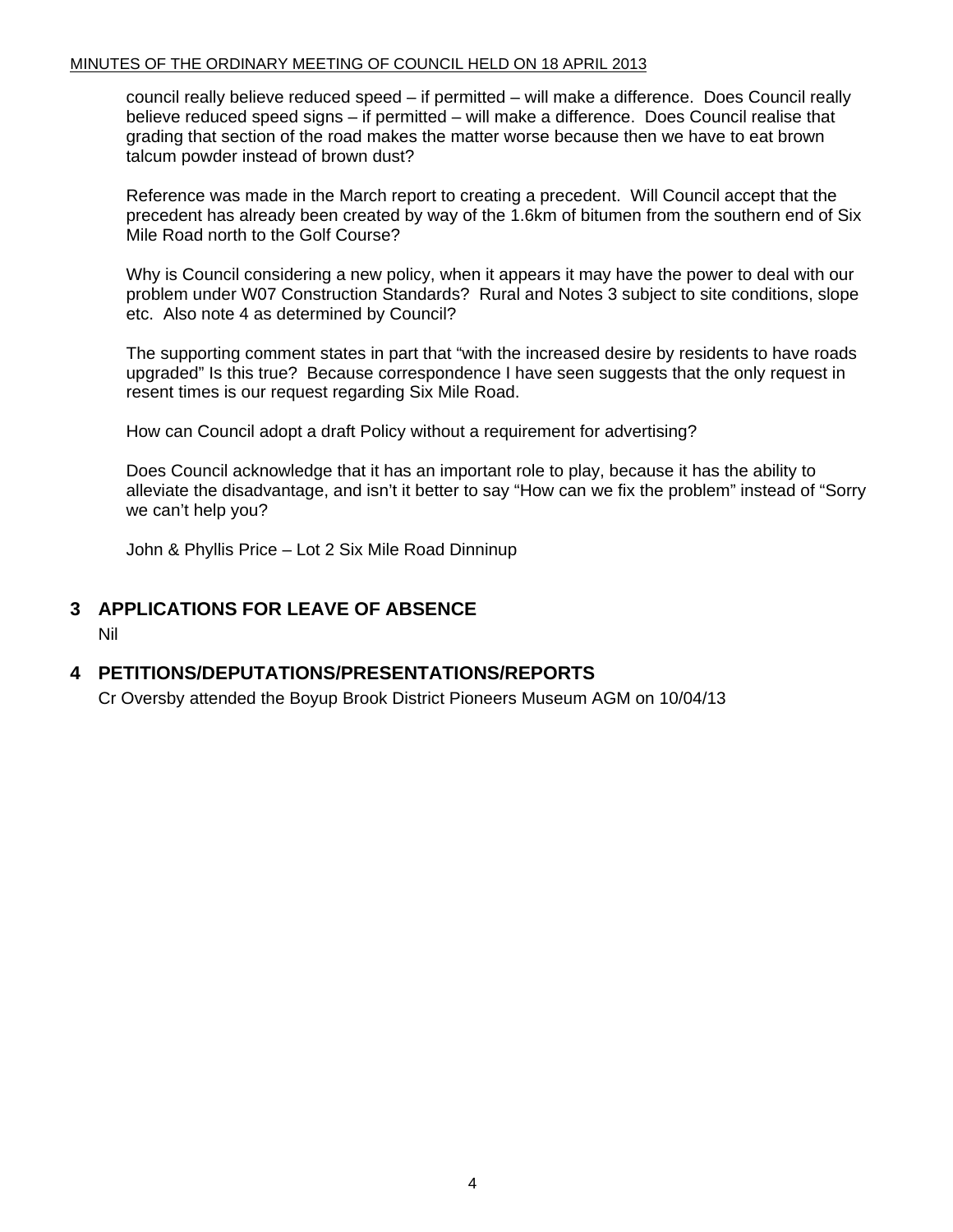<span id="page-3-0"></span>council really believe reduced speed – if permitted – will make a difference. Does Council really believe reduced speed signs – if permitted – will make a difference. Does Council realise that grading that section of the road makes the matter worse because then we have to eat brown talcum powder instead of brown dust?

Reference was made in the March report to creating a precedent. Will Council accept that the precedent has already been created by way of the 1.6km of bitumen from the southern end of Six Mile Road north to the Golf Course?

Why is Council considering a new policy, when it appears it may have the power to deal with our problem under W07 Construction Standards? Rural and Notes 3 subject to site conditions, slope etc. Also note 4 as determined by Council?

The supporting comment states in part that "with the increased desire by residents to have roads upgraded" Is this true? Because correspondence I have seen suggests that the only request in resent times is our request regarding Six Mile Road.

How can Council adopt a draft Policy without a requirement for advertising?

Does Council acknowledge that it has an important role to play, because it has the ability to alleviate the disadvantage, and isn't it better to say "How can we fix the problem" instead of "Sorry we can't help you?

John & Phyllis Price – Lot 2 Six Mile Road Dinninup

#### **3 APPLICATIONS FOR LEAVE OF ABSENCE**

Nil

#### **4 PETITIONS/DEPUTATIONS/PRESENTATIONS/REPORTS**

Cr Oversby attended the Boyup Brook District Pioneers Museum AGM on 10/04/13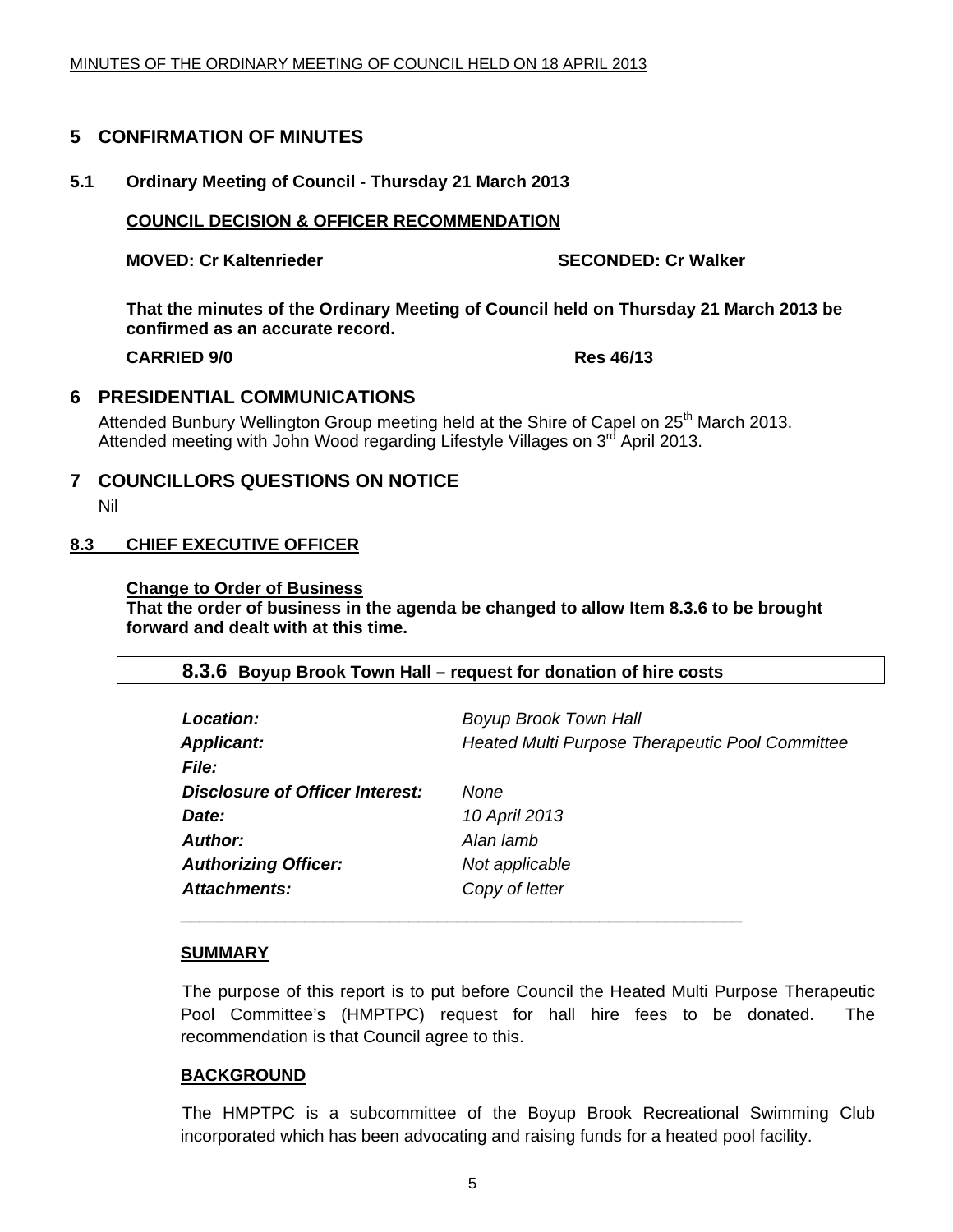#### <span id="page-4-0"></span>**5 CONFIRMATION OF MINUTES**

#### **5.1 Ordinary Meeting of Council - Thursday 21 March 2013**

#### **COUNCIL DECISION & OFFICER RECOMMENDATION**

**MOVED: Cr Kaltenrieder SECONDED: Cr Walker SECONDED: Cr Walker** 

**That the minutes of the Ordinary Meeting of Council held on Thursday 21 March 2013 be confirmed as an accurate record.** 

**CARRIED 9/0 Res 46/13** 

#### **6 PRESIDENTIAL COMMUNICATIONS**

Attended Bunbury Wellington Group meeting held at the Shire of Capel on 25<sup>th</sup> March 2013. Attended meeting with John Wood regarding Lifestyle Villages on 3<sup>rd</sup> April 2013.

**7 COUNCILLORS QUESTIONS ON NOTICE**  Nil

#### **8.3 CHIEF EXECUTIVE OFFICER**

#### **Change to Order of Business**

**That the order of business in the agenda be changed to allow Item 8.3.6 to be brought forward and dealt with at this time.** 

#### **8.3.6 Boyup Brook Town Hall – request for donation of hire costs**

| <b>Location:</b>                       | <b>Boyup Brook Town Hall</b>                    |
|----------------------------------------|-------------------------------------------------|
| <b>Applicant:</b>                      | Heated Multi Purpose Therapeutic Pool Committee |
| <i>File:</i>                           |                                                 |
| <b>Disclosure of Officer Interest:</b> | None                                            |
| Date:                                  | 10 April 2013                                   |
| Author:                                | Alan lamb                                       |
| <b>Authorizing Officer:</b>            | Not applicable                                  |
| Attachments:                           | Copy of letter                                  |
|                                        |                                                 |

#### **SUMMARY**

The purpose of this report is to put before Council the Heated Multi Purpose Therapeutic Pool Committee's (HMPTPC) request for hall hire fees to be donated. The recommendation is that Council agree to this.

#### **BACKGROUND**

 The HMPTPC is a subcommittee of the Boyup Brook Recreational Swimming Club incorporated which has been advocating and raising funds for a heated pool facility.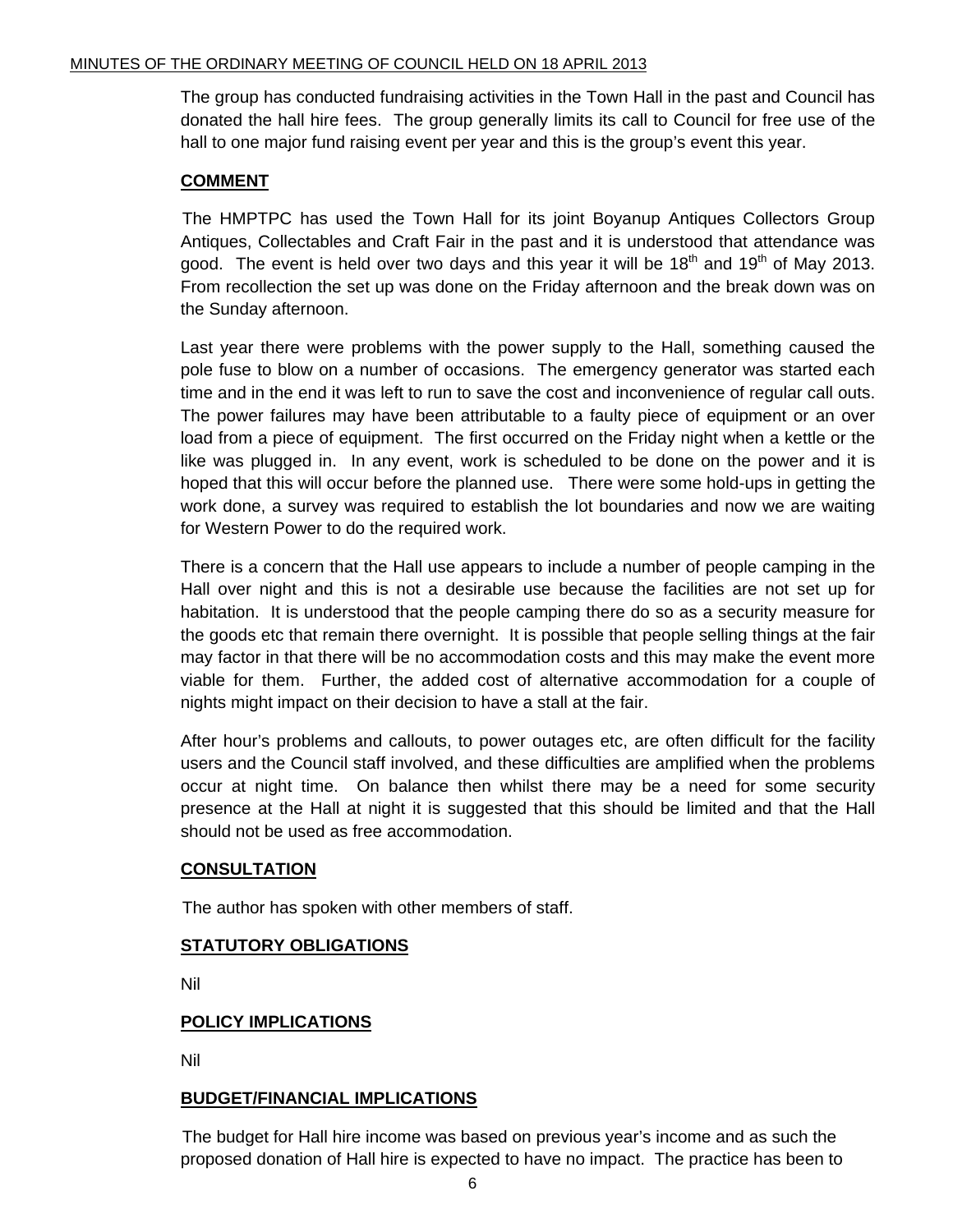The group has conducted fundraising activities in the Town Hall in the past and Council has donated the hall hire fees. The group generally limits its call to Council for free use of the hall to one major fund raising event per year and this is the group's event this year.

#### **COMMENT**

 The HMPTPC has used the Town Hall for its joint Boyanup Antiques Collectors Group Antiques, Collectables and Craft Fair in the past and it is understood that attendance was good. The event is held over two days and this year it will be  $18<sup>th</sup>$  and  $19<sup>th</sup>$  of May 2013. From recollection the set up was done on the Friday afternoon and the break down was on the Sunday afternoon.

Last year there were problems with the power supply to the Hall, something caused the pole fuse to blow on a number of occasions. The emergency generator was started each time and in the end it was left to run to save the cost and inconvenience of regular call outs. The power failures may have been attributable to a faulty piece of equipment or an over load from a piece of equipment. The first occurred on the Friday night when a kettle or the like was plugged in. In any event, work is scheduled to be done on the power and it is hoped that this will occur before the planned use. There were some hold-ups in getting the work done, a survey was required to establish the lot boundaries and now we are waiting for Western Power to do the required work.

There is a concern that the Hall use appears to include a number of people camping in the Hall over night and this is not a desirable use because the facilities are not set up for habitation. It is understood that the people camping there do so as a security measure for the goods etc that remain there overnight. It is possible that people selling things at the fair may factor in that there will be no accommodation costs and this may make the event more viable for them. Further, the added cost of alternative accommodation for a couple of nights might impact on their decision to have a stall at the fair.

After hour's problems and callouts, to power outages etc, are often difficult for the facility users and the Council staff involved, and these difficulties are amplified when the problems occur at night time. On balance then whilst there may be a need for some security presence at the Hall at night it is suggested that this should be limited and that the Hall should not be used as free accommodation.

#### **CONSULTATION**

The author has spoken with other members of staff.

#### **STATUTORY OBLIGATIONS**

Nil

#### **POLICY IMPLICATIONS**

Nil

#### **BUDGET/FINANCIAL IMPLICATIONS**

The budget for Hall hire income was based on previous year's income and as such the proposed donation of Hall hire is expected to have no impact. The practice has been to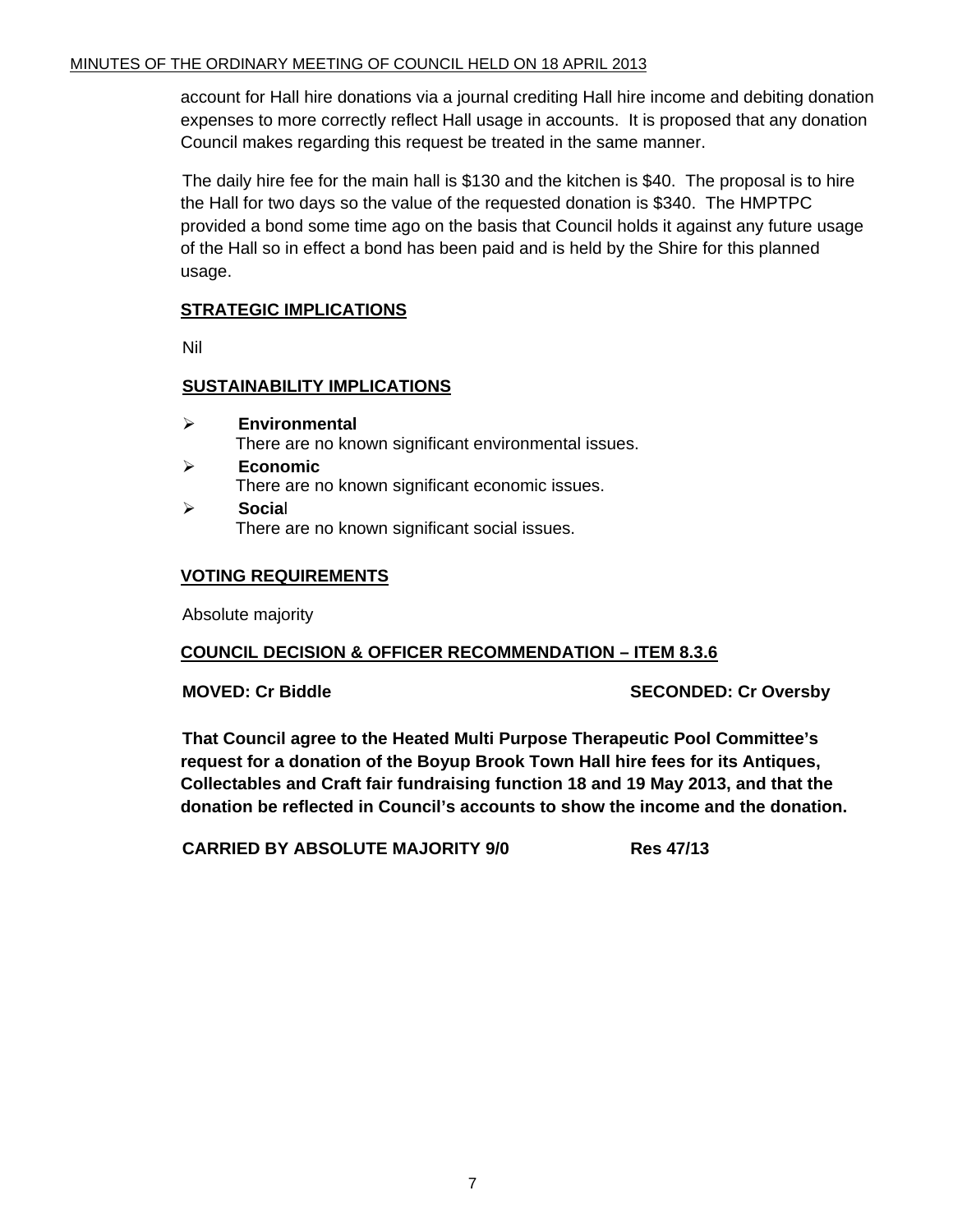account for Hall hire donations via a journal crediting Hall hire income and debiting donation expenses to more correctly reflect Hall usage in accounts. It is proposed that any donation Council makes regarding this request be treated in the same manner.

The daily hire fee for the main hall is \$130 and the kitchen is \$40. The proposal is to hire the Hall for two days so the value of the requested donation is \$340. The HMPTPC provided a bond some time ago on the basis that Council holds it against any future usage of the Hall so in effect a bond has been paid and is held by the Shire for this planned usage.

#### **STRATEGIC IMPLICATIONS**

Nil

#### **SUSTAINABILITY IMPLICATIONS**

- ¾ **Environmental**  There are no known significant environmental issues.
- ¾ **Economic**  There are no known significant economic issues.
- ¾ **Socia**l There are no known significant social issues.

#### **VOTING REQUIREMENTS**

Absolute majority

#### **COUNCIL DECISION & OFFICER RECOMMENDATION – ITEM 8.3.6**

**MOVED: Cr Biddle SECONDED: Cr Oversby** 

**That Council agree to the Heated Multi Purpose Therapeutic Pool Committee's request for a donation of the Boyup Brook Town Hall hire fees for its Antiques, Collectables and Craft fair fundraising function 18 and 19 May 2013, and that the donation be reflected in Council's accounts to show the income and the donation.** 

**CARRIED BY ABSOLUTE MAJORITY 9/0 Res 47/13**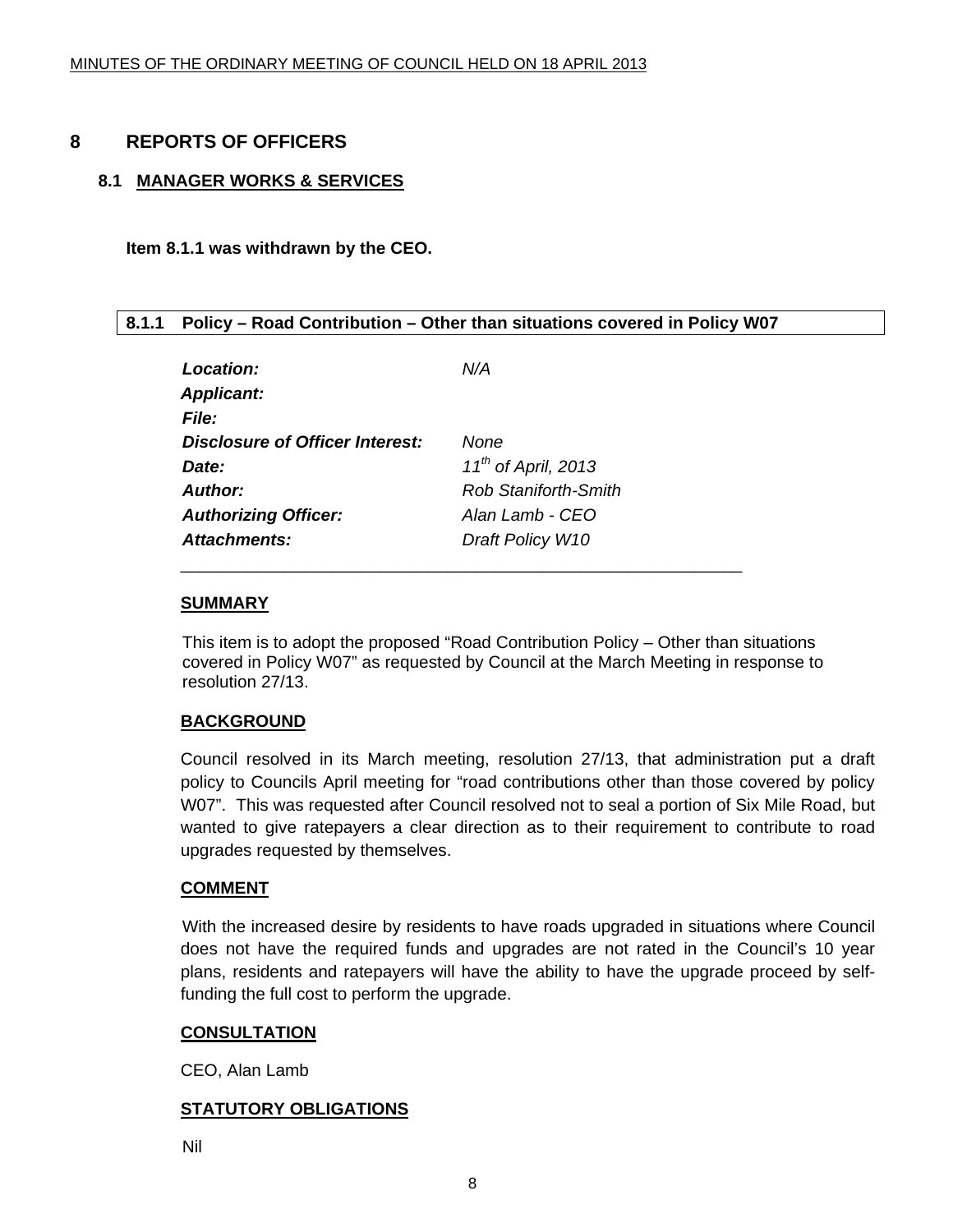#### <span id="page-7-0"></span>**8 REPORTS OF OFFICERS**

#### **8.1 MANAGER WORKS & SERVICES**

**Item 8.1.1 was withdrawn by the CEO.** 

#### **8.1.1 Policy – Road Contribution – Other than situations covered in Policy W07**

| Location:                              | N/A                         |
|----------------------------------------|-----------------------------|
| <b>Applicant:</b>                      |                             |
| File:                                  |                             |
| <b>Disclosure of Officer Interest:</b> | <b>None</b>                 |
| Date:                                  | $11^{th}$ of April, 2013    |
| <b>Author:</b>                         | <b>Rob Staniforth-Smith</b> |
| <b>Authorizing Officer:</b>            | Alan Lamb - CEO             |
| Attachments:                           | Draft Policy W10            |

#### **SUMMARY**

This item is to adopt the proposed "Road Contribution Policy – Other than situations covered in Policy W07" as requested by Council at the March Meeting in response to resolution 27/13.

#### **BACKGROUND**

Council resolved in its March meeting, resolution 27/13, that administration put a draft policy to Councils April meeting for "road contributions other than those covered by policy W07". This was requested after Council resolved not to seal a portion of Six Mile Road, but wanted to give ratepayers a clear direction as to their requirement to contribute to road upgrades requested by themselves.

#### **COMMENT**

 With the increased desire by residents to have roads upgraded in situations where Council does not have the required funds and upgrades are not rated in the Council's 10 year plans, residents and ratepayers will have the ability to have the upgrade proceed by selffunding the full cost to perform the upgrade.

#### **CONSULTATION**

CEO, Alan Lamb

#### **STATUTORY OBLIGATIONS**

Nil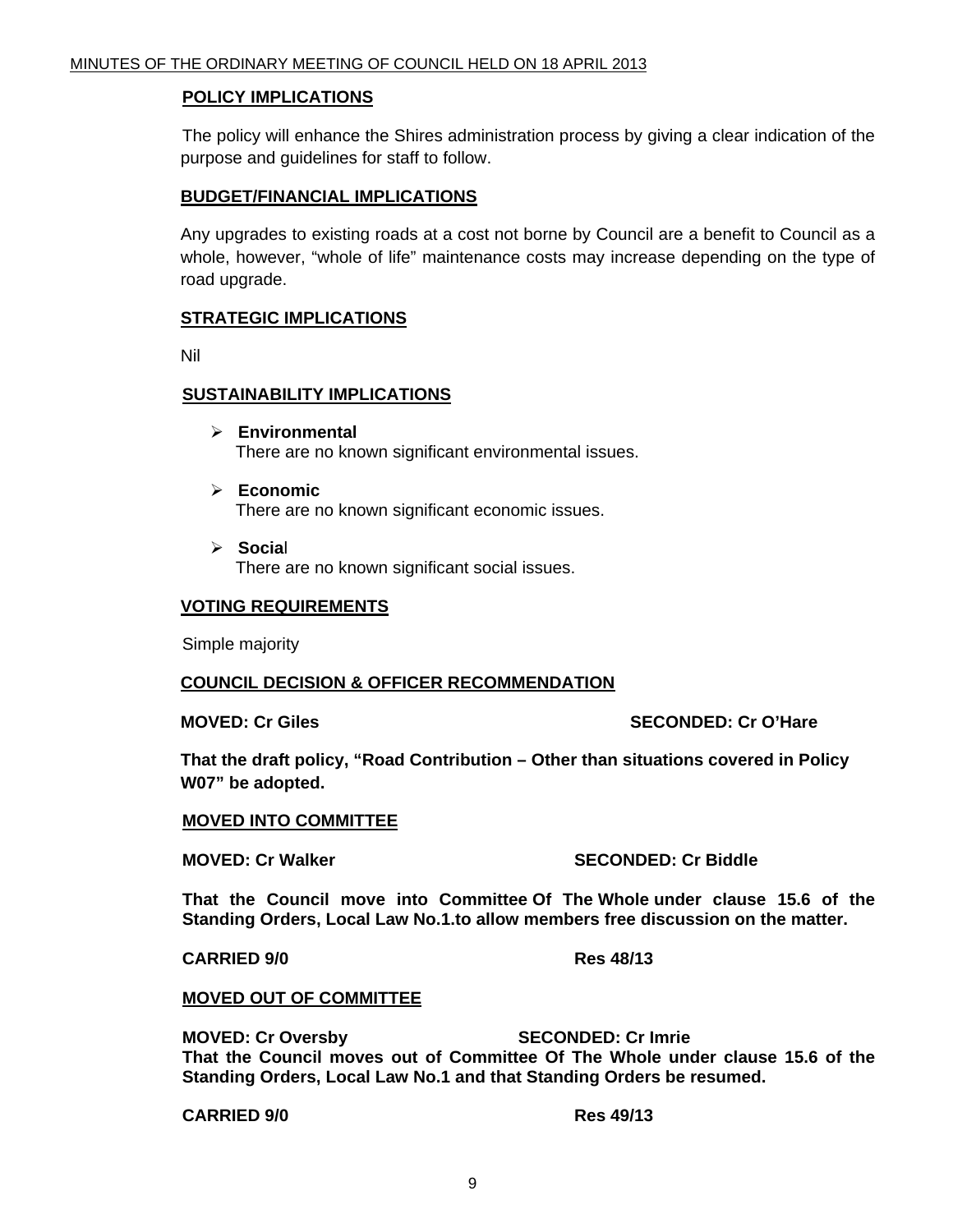#### **POLICY IMPLICATIONS**

 The policy will enhance the Shires administration process by giving a clear indication of the purpose and guidelines for staff to follow.

#### **BUDGET/FINANCIAL IMPLICATIONS**

Any upgrades to existing roads at a cost not borne by Council are a benefit to Council as a whole, however, "whole of life" maintenance costs may increase depending on the type of road upgrade.

#### **STRATEGIC IMPLICATIONS**

Nil

#### **SUSTAINABILITY IMPLICATIONS**

- ¾ **Environmental**  There are no known significant environmental issues.
- ¾ **Economic**  There are no known significant economic issues.
- ¾ **Socia**l There are no known significant social issues.

#### **VOTING REQUIREMENTS**

Simple majority

#### **COUNCIL DECISION & OFFICER RECOMMENDATION**

**MOVED: Cr Giles SECONDED: Cr O'Hare** 

**That the draft policy, "Road Contribution – Other than situations covered in Policy W07" be adopted.** 

#### **MOVED INTO COMMITTEE**

#### **MOVED: Cr Walker SECONDED: Cr Biddle**

**That the Council move into Committee Of The Whole under clause 15.6 of the Standing Orders, Local Law No.1.to allow members free discussion on the matter.** 

#### **CARRIED 9/0 Res 48/13**

#### **MOVED OUT OF COMMITTEE**

**MOVED: Cr Oversby SECONDED: Cr Imrie That the Council moves out of Committee Of The Whole under clause 15.6 of the Standing Orders, Local Law No.1 and that Standing Orders be resumed.** 

**CARRIED 9/0 Res 49/13**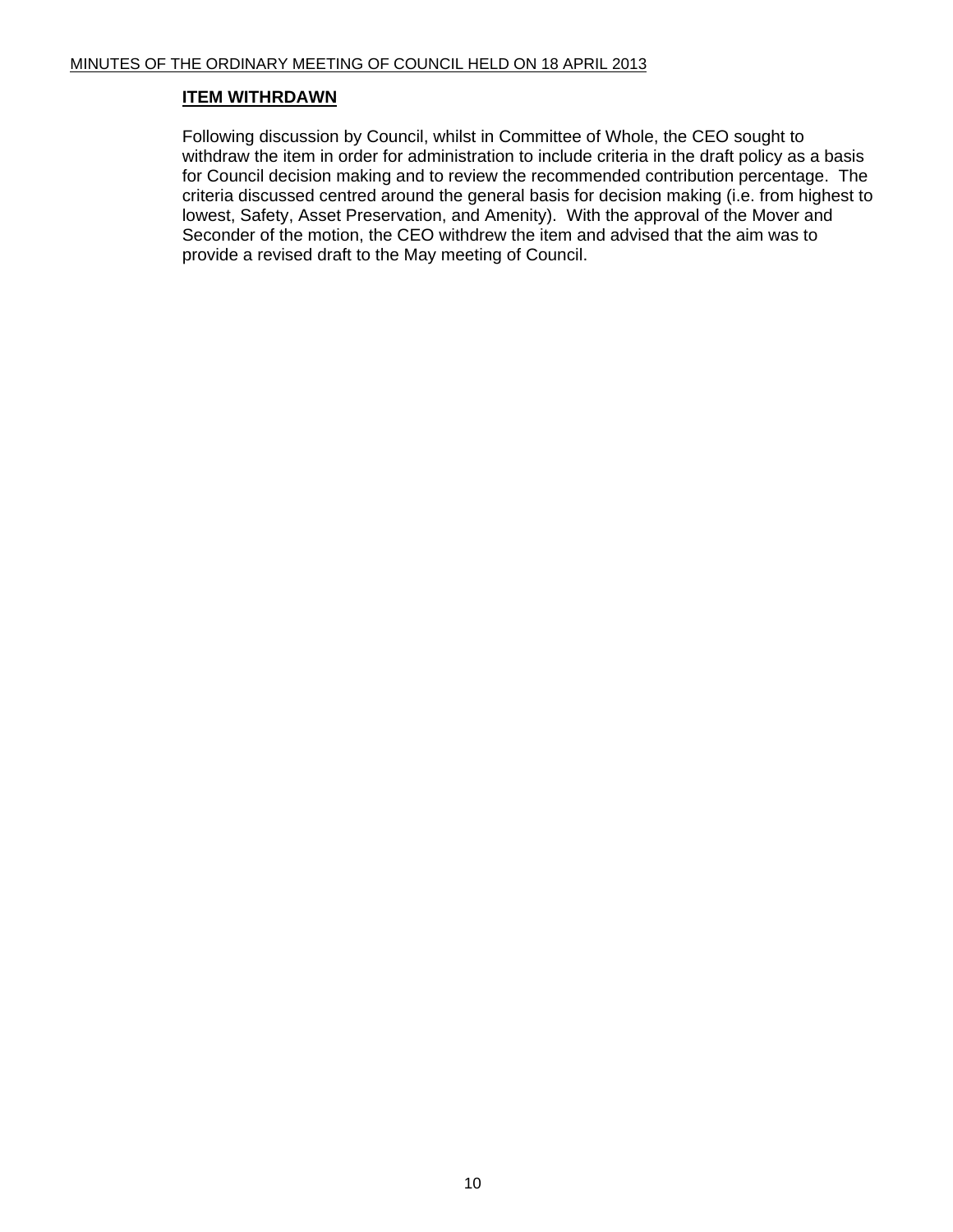#### **ITEM WITHRDAWN**

Following discussion by Council, whilst in Committee of Whole, the CEO sought to withdraw the item in order for administration to include criteria in the draft policy as a basis for Council decision making and to review the recommended contribution percentage. The criteria discussed centred around the general basis for decision making (i.e. from highest to lowest, Safety, Asset Preservation, and Amenity). With the approval of the Mover and Seconder of the motion, the CEO withdrew the item and advised that the aim was to provide a revised draft to the May meeting of Council.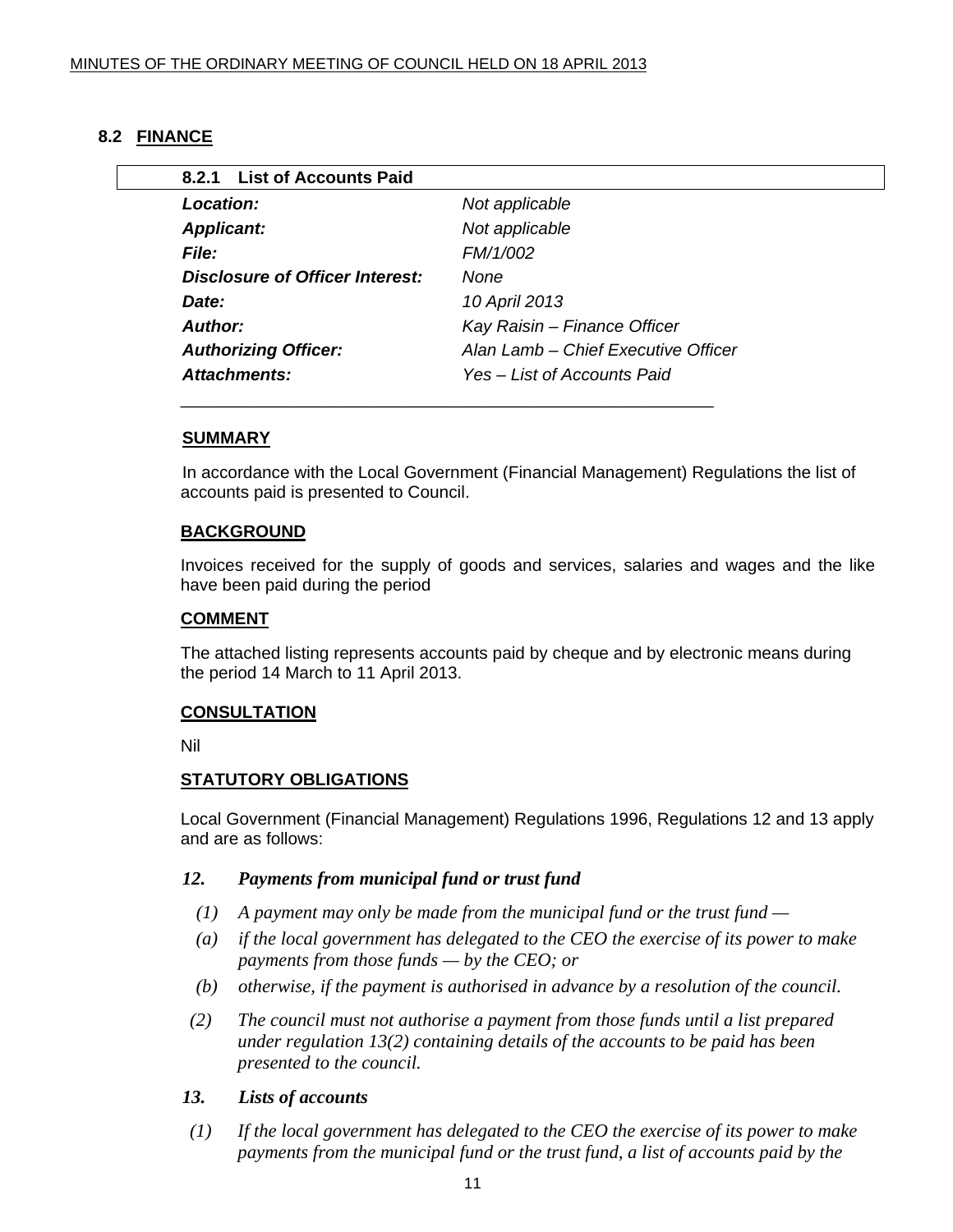#### <span id="page-10-0"></span>**8.2 FINANCE**

| 8.2.1 List of Accounts Paid            |                                     |
|----------------------------------------|-------------------------------------|
| Location:                              | Not applicable                      |
| <b>Applicant:</b>                      | Not applicable                      |
| <b>File:</b>                           | FM/1/002                            |
| <b>Disclosure of Officer Interest:</b> | <b>None</b>                         |
| Date:                                  | 10 April 2013                       |
| Author:                                | Kay Raisin – Finance Officer        |
| <b>Authorizing Officer:</b>            | Alan Lamb - Chief Executive Officer |
| Attachments:                           | Yes – List of Accounts Paid         |

#### **SUMMARY**

In accordance with the Local Government (Financial Management) Regulations the list of accounts paid is presented to Council.

#### **BACKGROUND**

Invoices received for the supply of goods and services, salaries and wages and the like have been paid during the period

#### **COMMENT**

The attached listing represents accounts paid by cheque and by electronic means during the period 14 March to 11 April 2013.

#### **CONSULTATION**

Nil

#### **STATUTORY OBLIGATIONS**

Local Government (Financial Management) Regulations 1996, Regulations 12 and 13 apply and are as follows:

#### *12. Payments from municipal fund or trust fund*

- *(1) A payment may only be made from the municipal fund or the trust fund*
- *(a) if the local government has delegated to the CEO the exercise of its power to make payments from those funds — by the CEO; or*
- *(b) otherwise, if the payment is authorised in advance by a resolution of the council.*
- *(2) The council must not authorise a payment from those funds until a list prepared under regulation 13(2) containing details of the accounts to be paid has been presented to the council.*

#### *13. Lists of accounts*

 *(1) If the local government has delegated to the CEO the exercise of its power to make payments from the municipal fund or the trust fund, a list of accounts paid by the*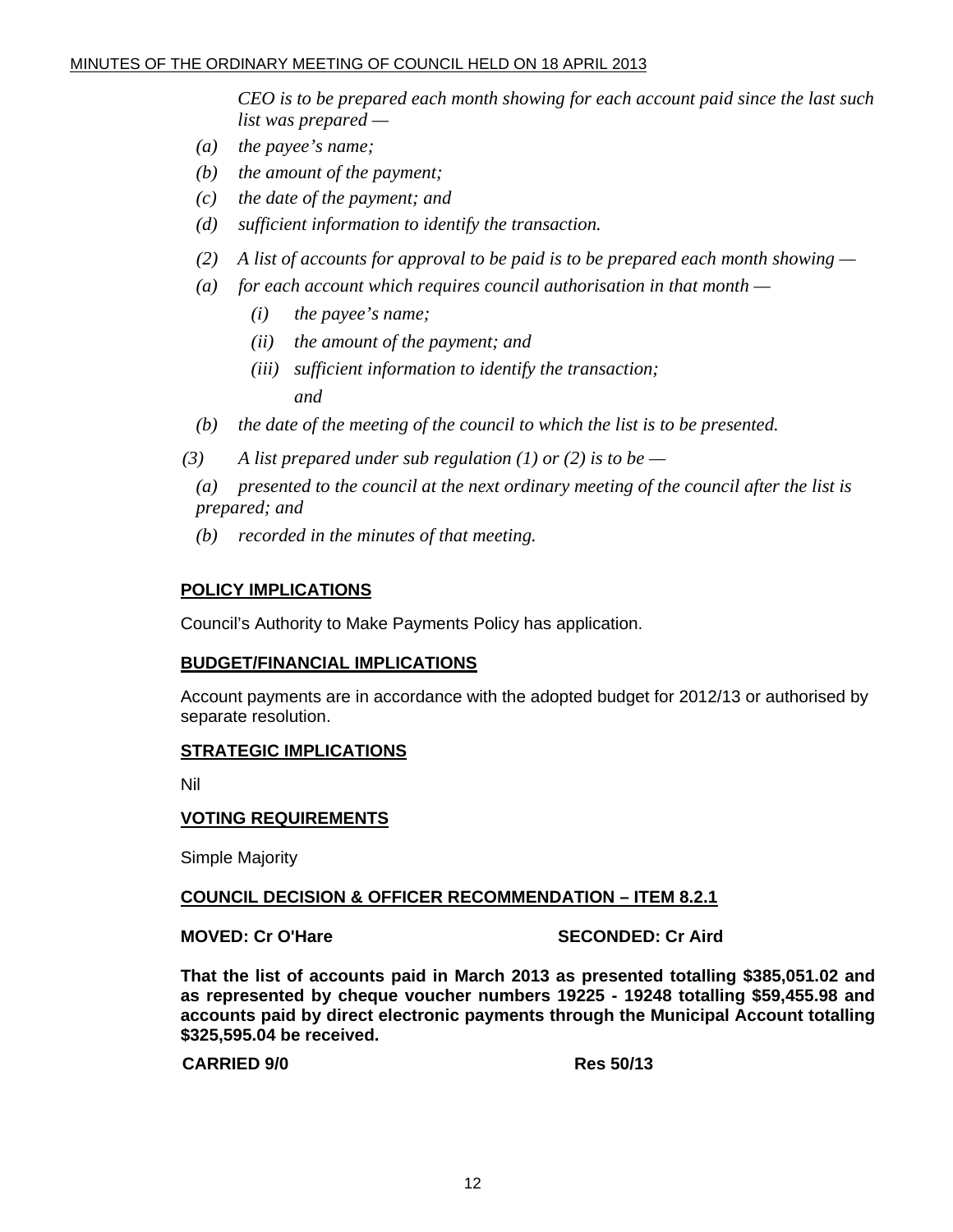*CEO is to be prepared each month showing for each account paid since the last such list was prepared —* 

- *(a) the payee's name;*
- *(b) the amount of the payment;*
- *(c) the date of the payment; and*
- *(d) sufficient information to identify the transaction.*
- *(2) A list of accounts for approval to be paid is to be prepared each month showing*
- *(a) for each account which requires council authorisation in that month* 
	- *(i) the payee's name;*
	- *(ii) the amount of the payment; and*
- *(iii) sufficient information to identify the transaction; and and* 
	- *(b) the date of the meeting of the council to which the list is to be presented.*
	- $(3)$  A list prepared under sub regulation (1) or (2) is to be
		- *(a) presented to the council at the next ordinary meeting of the council after the list is prepared; and*
		- *(b) recorded in the minutes of that meeting.*

#### **POLICY IMPLICATIONS**

Council's Authority to Make Payments Policy has application.

#### **BUDGET/FINANCIAL IMPLICATIONS**

Account payments are in accordance with the adopted budget for 2012/13 or authorised by separate resolution.

#### **STRATEGIC IMPLICATIONS**

Nil

#### **VOTING REQUIREMENTS**

Simple Majority

#### **COUNCIL DECISION & OFFICER RECOMMENDATION – ITEM 8.2.1**

**MOVED: Cr O'Hare SECONDED: Cr Aird 3** 

**That the list of accounts paid in March 2013 as presented totalling \$385,051.02 and as represented by cheque voucher numbers 19225 - 19248 totalling \$59,455.98 and accounts paid by direct electronic payments through the Municipal Account totalling \$325,595.04 be received.** 

**CARRIED 9/0 Res 50/13**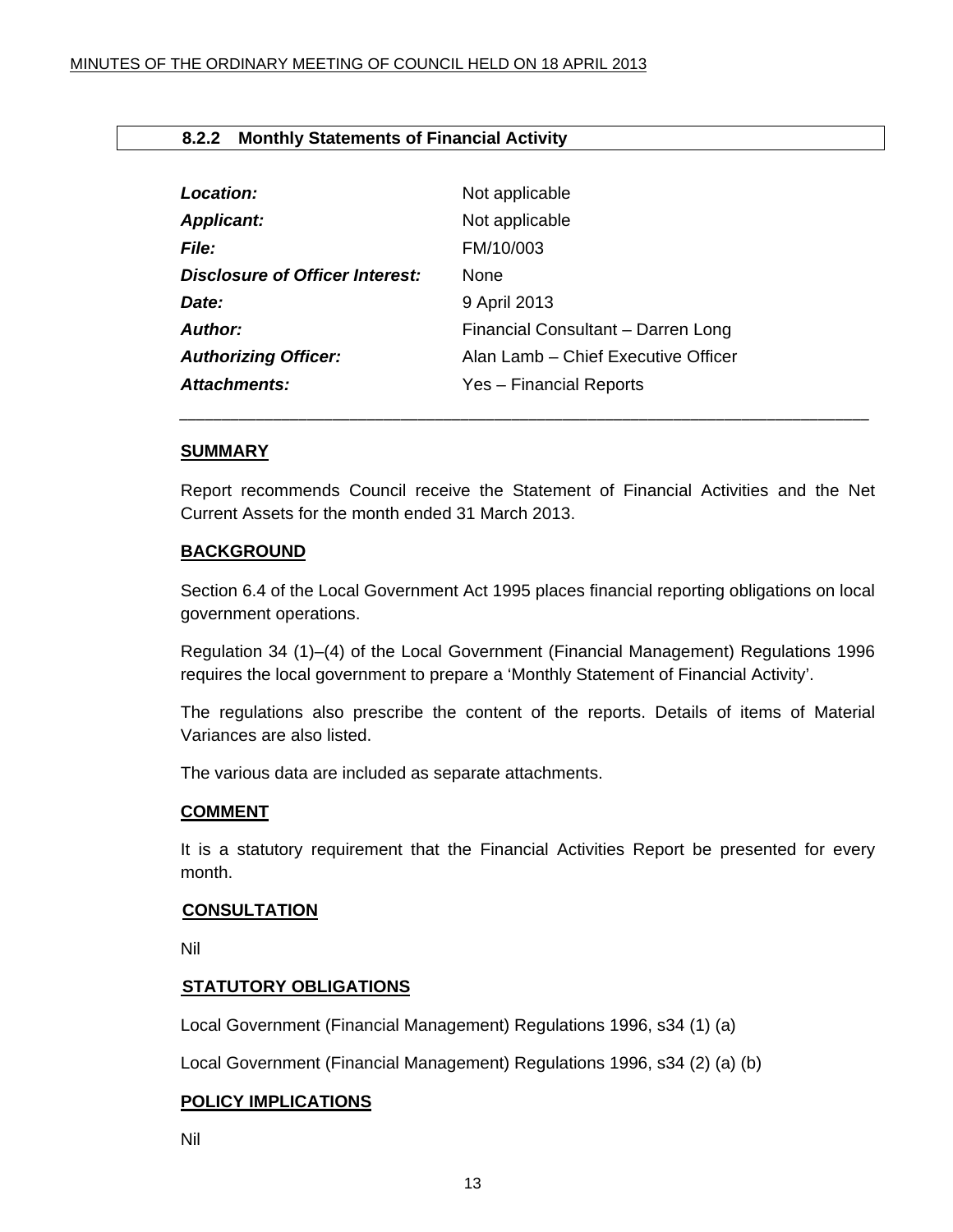#### <span id="page-12-0"></span>**8.2.2 Monthly Statements of Financial Activity**

| Location:                              | Not applicable                      |
|----------------------------------------|-------------------------------------|
| <b>Applicant:</b>                      | Not applicable                      |
| <b>File:</b>                           | FM/10/003                           |
| <b>Disclosure of Officer Interest:</b> | <b>None</b>                         |
| Date:                                  | 9 April 2013                        |
| Author:                                | Financial Consultant - Darren Long  |
| <b>Authorizing Officer:</b>            | Alan Lamb – Chief Executive Officer |
| <b>Attachments:</b>                    | Yes - Financial Reports             |

#### **SUMMARY**

Report recommends Council receive the Statement of Financial Activities and the Net Current Assets for the month ended 31 March 2013.

*\_\_\_\_\_\_\_\_\_\_\_\_\_\_\_\_\_\_\_\_\_\_\_\_\_\_\_\_\_\_\_\_\_\_\_\_\_\_\_\_\_\_\_\_\_\_\_\_\_\_\_\_\_\_\_\_\_\_\_\_\_\_\_\_\_\_\_\_\_\_\_\_\_\_\_\_\_\_\_\_\_*

#### **BACKGROUND**

Section 6.4 of the Local Government Act 1995 places financial reporting obligations on local government operations.

Regulation 34 (1)–(4) of the Local Government (Financial Management) Regulations 1996 requires the local government to prepare a 'Monthly Statement of Financial Activity'.

The regulations also prescribe the content of the reports. Details of items of Material Variances are also listed.

The various data are included as separate attachments.

#### **COMMENT**

It is a statutory requirement that the Financial Activities Report be presented for every month.

#### **CONSULTATION**

Nil

#### **STATUTORY OBLIGATIONS**

Local Government (Financial Management) Regulations 1996, s34 (1) (a)

Local Government (Financial Management) Regulations 1996, s34 (2) (a) (b)

#### **POLICY IMPLICATIONS**

Nil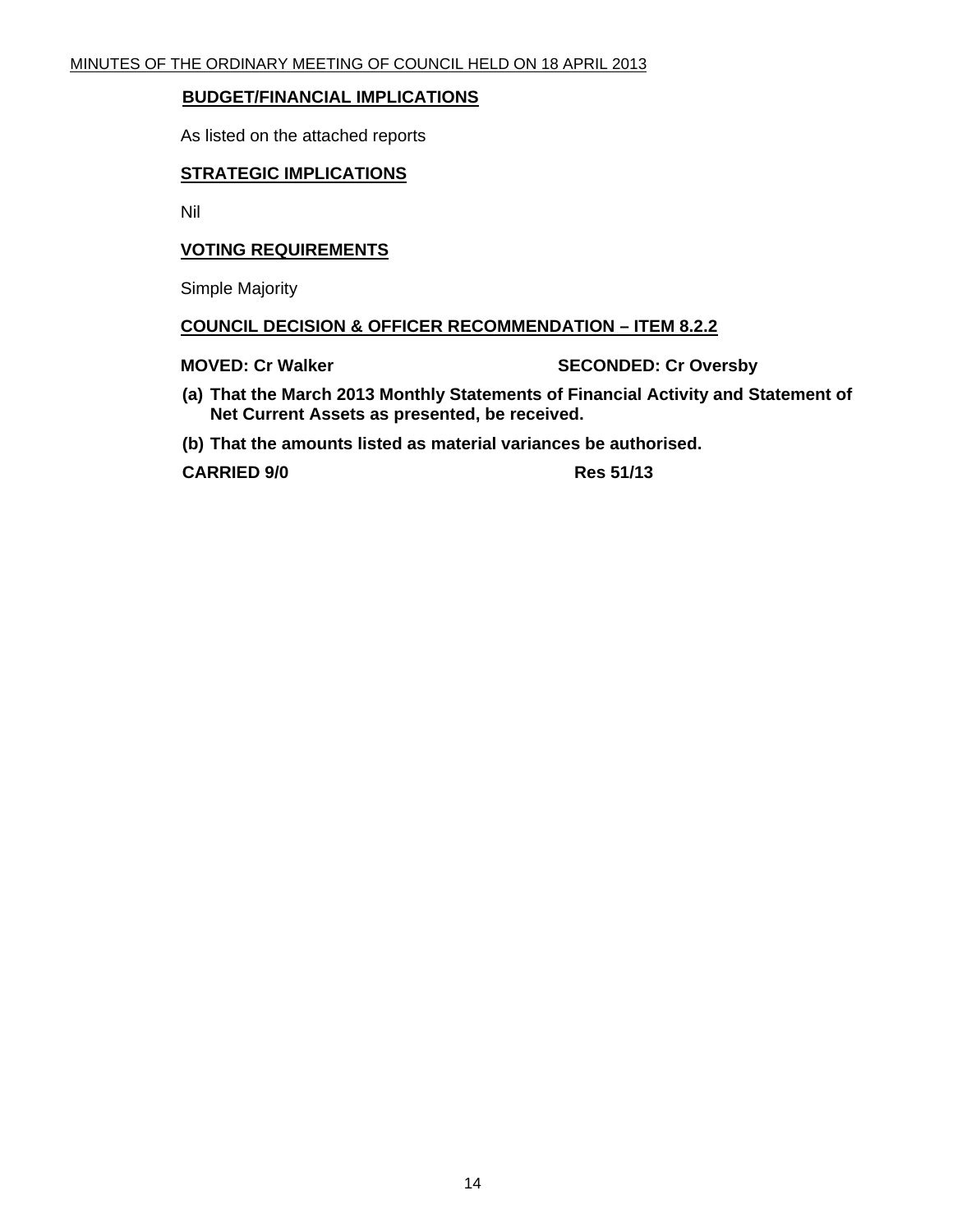#### **BUDGET/FINANCIAL IMPLICATIONS**

As listed on the attached reports

#### **STRATEGIC IMPLICATIONS**

Nil

#### **VOTING REQUIREMENTS**

Simple Majority

#### **COUNCIL DECISION & OFFICER RECOMMENDATION – ITEM 8.2.2**

**MOVED: Cr Walker SECONDED: Cr Oversby** 

- **(a) That the March 2013 Monthly Statements of Financial Activity and Statement of Net Current Assets as presented, be received.**
- **(b) That the amounts listed as material variances be authorised.**

**CARRIED 9/0 Res 51/13**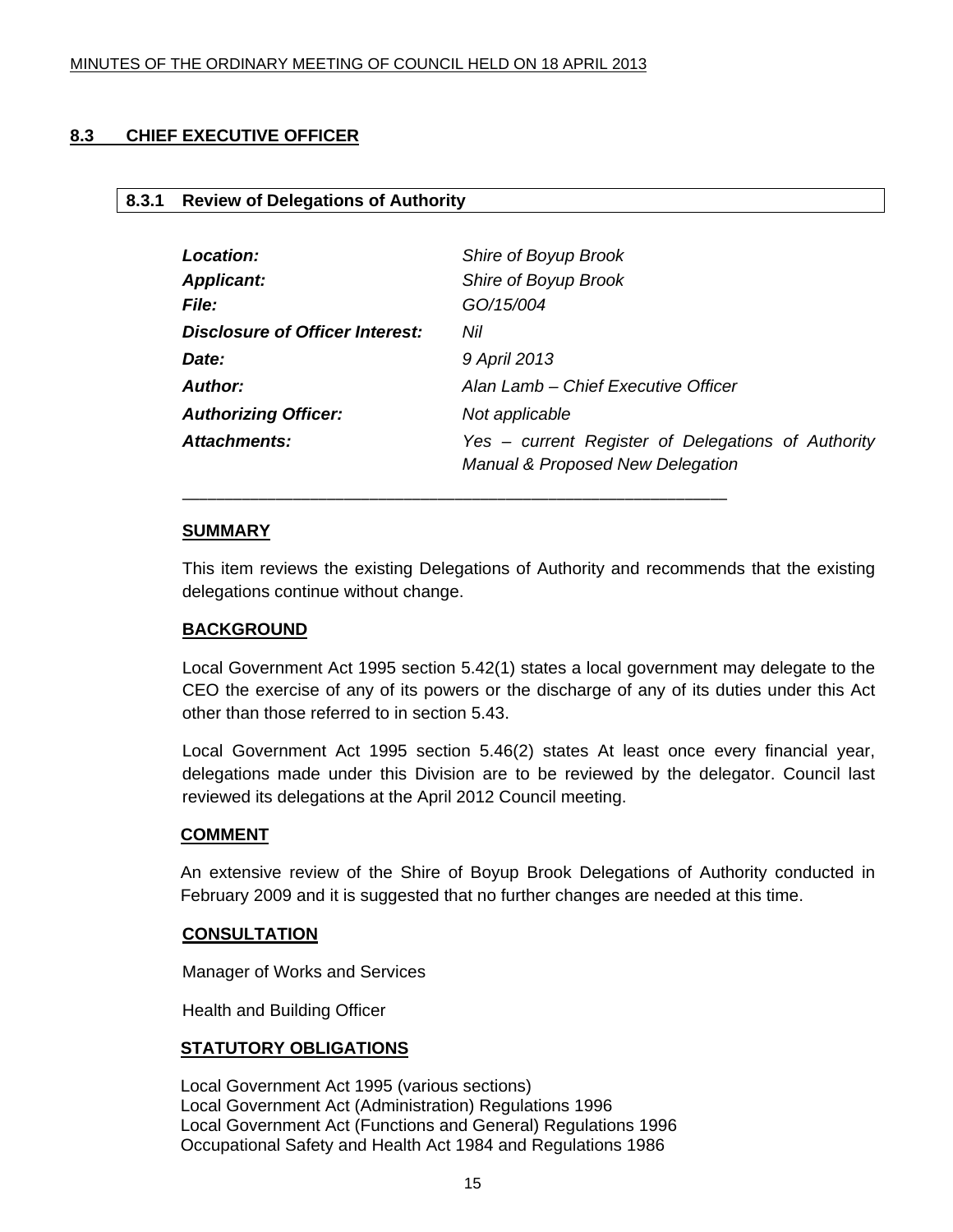#### <span id="page-14-0"></span>**8.3 CHIEF EXECUTIVE OFFICER**

#### **8.3.1 Review of Delegations of Authority**

| Location:                              | Shire of Boyup Brook                                                                              |
|----------------------------------------|---------------------------------------------------------------------------------------------------|
| <b>Applicant:</b>                      | Shire of Boyup Brook                                                                              |
| <i>File:</i>                           | GO/15/004                                                                                         |
| <b>Disclosure of Officer Interest:</b> | Nil                                                                                               |
| Date:                                  | 9 April 2013                                                                                      |
| <b>Author:</b>                         | Alan Lamb – Chief Executive Officer                                                               |
| <b>Authorizing Officer:</b>            | Not applicable                                                                                    |
| <b>Attachments:</b>                    | Yes – current Register of Delegations of Authority<br><b>Manual &amp; Proposed New Delegation</b> |

#### **SUMMARY**

This item reviews the existing Delegations of Authority and recommends that the existing delegations continue without change.

\_\_\_\_\_\_\_\_\_\_\_\_\_\_\_\_\_\_\_\_\_\_\_\_\_\_\_\_\_\_\_\_\_\_\_\_\_\_\_\_\_\_\_\_\_\_\_\_\_\_\_\_\_\_\_\_\_\_\_\_\_\_\_\_

#### **BACKGROUND**

Local Government Act 1995 section 5.42(1) states a local government may delegate to the CEO the exercise of any of its powers or the discharge of any of its duties under this Act other than those referred to in section 5.43.

Local Government Act 1995 section 5.46(2) states At least once every financial year, delegations made under this Division are to be reviewed by the delegator. Council last reviewed its delegations at the April 2012 Council meeting.

#### **COMMENT**

An extensive review of the Shire of Boyup Brook Delegations of Authority conducted in February 2009 and it is suggested that no further changes are needed at this time.

#### **CONSULTATION**

Manager of Works and Services

Health and Building Officer

#### **STATUTORY OBLIGATIONS**

Local Government Act 1995 (various sections) Local Government Act (Administration) Regulations 1996 Local Government Act (Functions and General) Regulations 1996 Occupational Safety and Health Act 1984 and Regulations 1986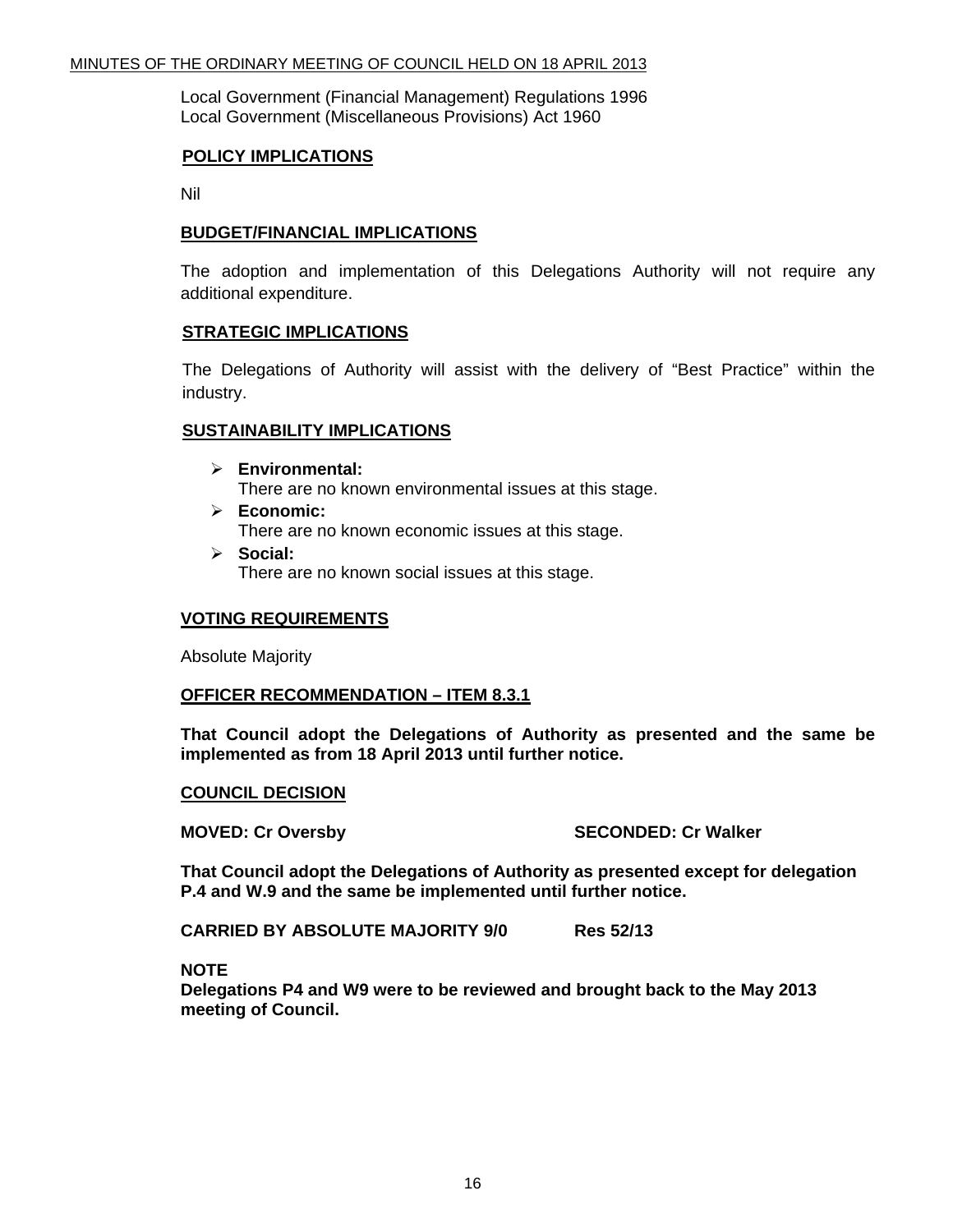Local Government (Financial Management) Regulations 1996 Local Government (Miscellaneous Provisions) Act 1960

#### **POLICY IMPLICATIONS**

Nil

#### **BUDGET/FINANCIAL IMPLICATIONS**

The adoption and implementation of this Delegations Authority will not require any additional expenditure.

#### **STRATEGIC IMPLICATIONS**

The Delegations of Authority will assist with the delivery of "Best Practice" within the industry.

#### **SUSTAINABILITY IMPLICATIONS**

- ¾ **Environmental:**  There are no known environmental issues at this stage.
- ¾ **Economic:** There are no known economic issues at this stage.
- ¾ **Social:** There are no known social issues at this stage.

#### **VOTING REQUIREMENTS**

Absolute Majority

#### **OFFICER RECOMMENDATION – ITEM 8.3.1**

**That Council adopt the Delegations of Authority as presented and the same be implemented as from 18 April 2013 until further notice.** 

#### **COUNCIL DECISION**

**MOVED: Cr Oversby SECONDED: Cr Walker** 

**That Council adopt the Delegations of Authority as presented except for delegation P.4 and W.9 and the same be implemented until further notice.** 

**CARRIED BY ABSOLUTE MAJORITY 9/0 Res 52/13** 

#### **NOTE**

**Delegations P4 and W9 were to be reviewed and brought back to the May 2013 meeting of Council.**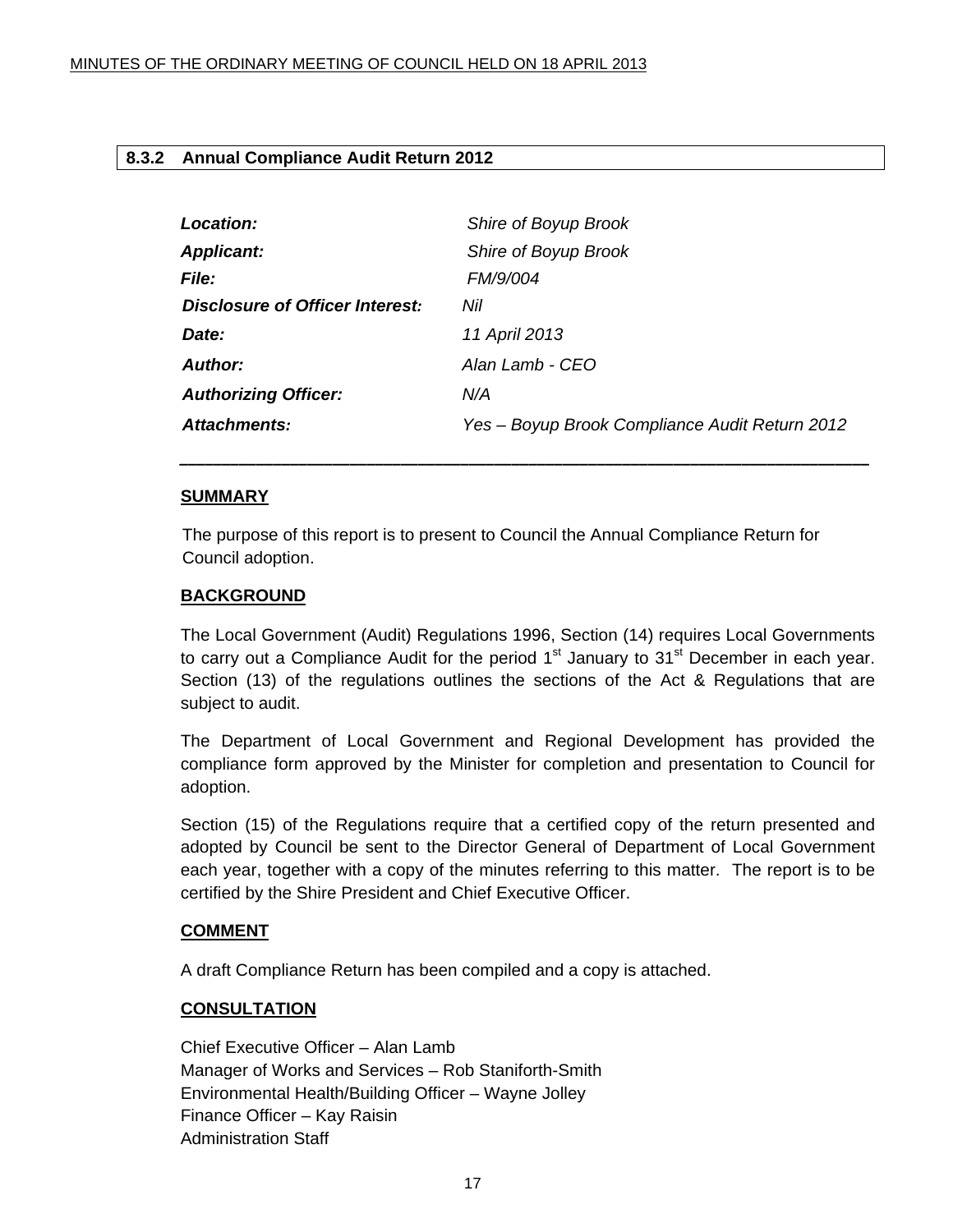#### <span id="page-16-0"></span>**8.3.2 Annual Compliance Audit Return 2012**

| Shire of Boyup Brook                           |
|------------------------------------------------|
| Shire of Boyup Brook                           |
| <b>FM/9/004</b>                                |
| Nil                                            |
| 11 April 2013                                  |
| Alan Lamb - CEO                                |
| N/A                                            |
| Yes – Boyup Brook Compliance Audit Return 2012 |
|                                                |

*\_\_\_\_\_\_\_\_\_\_\_\_\_\_\_\_\_\_\_\_\_\_\_\_\_\_\_\_\_\_\_\_\_\_\_\_\_\_\_\_\_\_\_\_\_\_\_\_\_\_\_\_\_\_\_\_\_\_\_\_\_\_\_\_\_\_\_\_\_\_\_\_\_\_\_\_\_\_\_\_\_*

#### **SUMMARY**

The purpose of this report is to present to Council the Annual Compliance Return for Council adoption.

#### **BACKGROUND**

The Local Government (Audit) Regulations 1996, Section (14) requires Local Governments to carry out a Compliance Audit for the period  $1<sup>st</sup>$  January to  $31<sup>st</sup>$  December in each year. Section (13) of the regulations outlines the sections of the Act & Regulations that are subject to audit.

The Department of Local Government and Regional Development has provided the compliance form approved by the Minister for completion and presentation to Council for adoption.

Section (15) of the Regulations require that a certified copy of the return presented and adopted by Council be sent to the Director General of Department of Local Government each year, together with a copy of the minutes referring to this matter. The report is to be certified by the Shire President and Chief Executive Officer.

#### **COMMENT**

A draft Compliance Return has been compiled and a copy is attached.

#### **CONSULTATION**

Chief Executive Officer – Alan Lamb Manager of Works and Services – Rob Staniforth-Smith Environmental Health/Building Officer – Wayne Jolley Finance Officer – Kay Raisin Administration Staff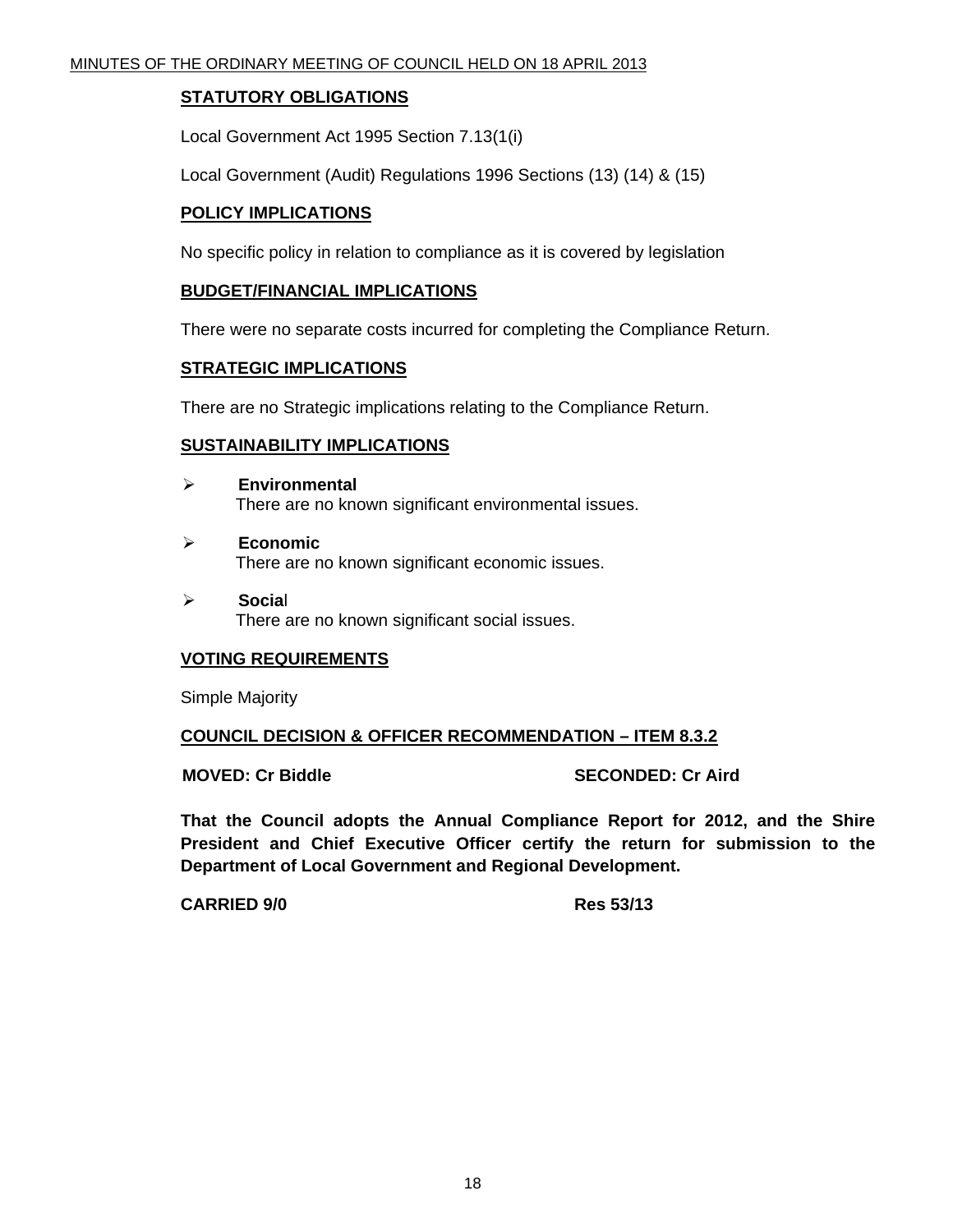#### **STATUTORY OBLIGATIONS**

Local Government Act 1995 Section 7.13(1(i)

Local Government (Audit) Regulations 1996 Sections (13) (14) & (15)

#### **POLICY IMPLICATIONS**

No specific policy in relation to compliance as it is covered by legislation

#### **BUDGET/FINANCIAL IMPLICATIONS**

There were no separate costs incurred for completing the Compliance Return.

#### **STRATEGIC IMPLICATIONS**

There are no Strategic implications relating to the Compliance Return.

#### **SUSTAINABILITY IMPLICATIONS**

- ¾ **Environmental**  There are no known significant environmental issues.
- ¾ **Economic**  There are no known significant economic issues.
- ¾ **Socia**l There are no known significant social issues.

## **VOTING REQUIREMENTS**

Simple Majority

#### **COUNCIL DECISION & OFFICER RECOMMENDATION – ITEM 8.3.2**

**MOVED: Cr Biddle SECONDED: Cr Aird 3DECONDED: Cr Aird 3DECONDED: Cr Aird 3DECONDED: Cr Aird 3DECONDED: C** 

**That the Council adopts the Annual Compliance Report for 2012, and the Shire President and Chief Executive Officer certify the return for submission to the Department of Local Government and Regional Development.** 

**CARRIED 9/0 Res 53/13**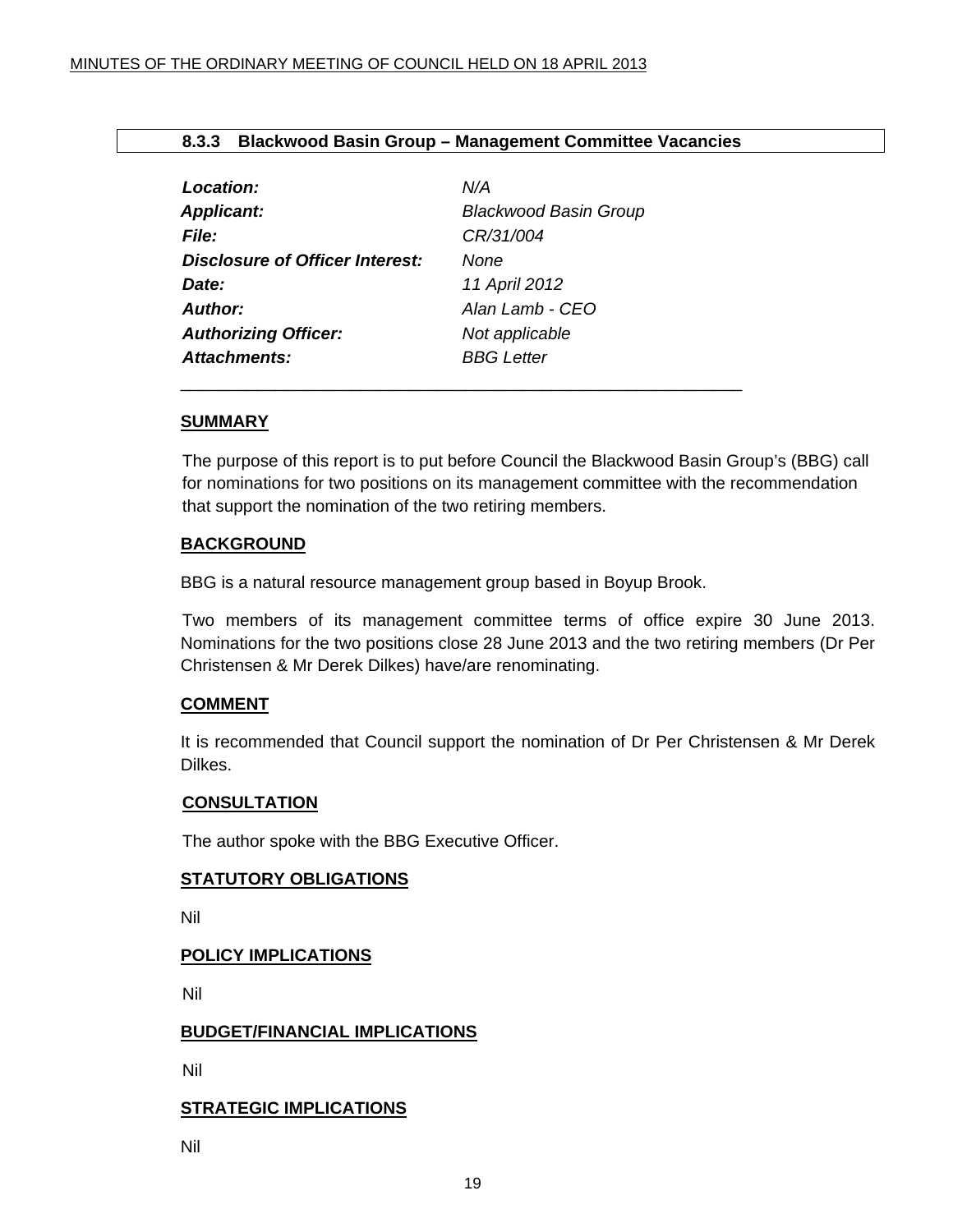#### **8.3.3 Blackwood Basin Group – Management Committee Vacancies**

<span id="page-18-0"></span>

| Location:                              | N/A                          |
|----------------------------------------|------------------------------|
| <b>Applicant:</b>                      | <b>Blackwood Basin Group</b> |
| <b>File:</b>                           | CR/31/004                    |
| <b>Disclosure of Officer Interest:</b> | <b>None</b>                  |
| Date:                                  | 11 April 2012                |
| <b>Author:</b>                         | Alan Lamb - CEO              |
| <b>Authorizing Officer:</b>            | Not applicable               |
| <b>Attachments:</b>                    | <b>BBG</b> Letter            |
|                                        |                              |

#### **SUMMARY**

The purpose of this report is to put before Council the Blackwood Basin Group's (BBG) call for nominations for two positions on its management committee with the recommendation that support the nomination of the two retiring members.

#### **BACKGROUND**

BBG is a natural resource management group based in Boyup Brook.

 Two members of its management committee terms of office expire 30 June 2013. Nominations for the two positions close 28 June 2013 and the two retiring members (Dr Per Christensen & Mr Derek Dilkes) have/are renominating.

#### **COMMENT**

It is recommended that Council support the nomination of Dr Per Christensen & Mr Derek Dilkes.

#### **CONSULTATION**

The author spoke with the BBG Executive Officer.

#### **STATUTORY OBLIGATIONS**

Nil

#### **POLICY IMPLICATIONS**

Nil

#### **BUDGET/FINANCIAL IMPLICATIONS**

Nil

#### **STRATEGIC IMPLICATIONS**

Nil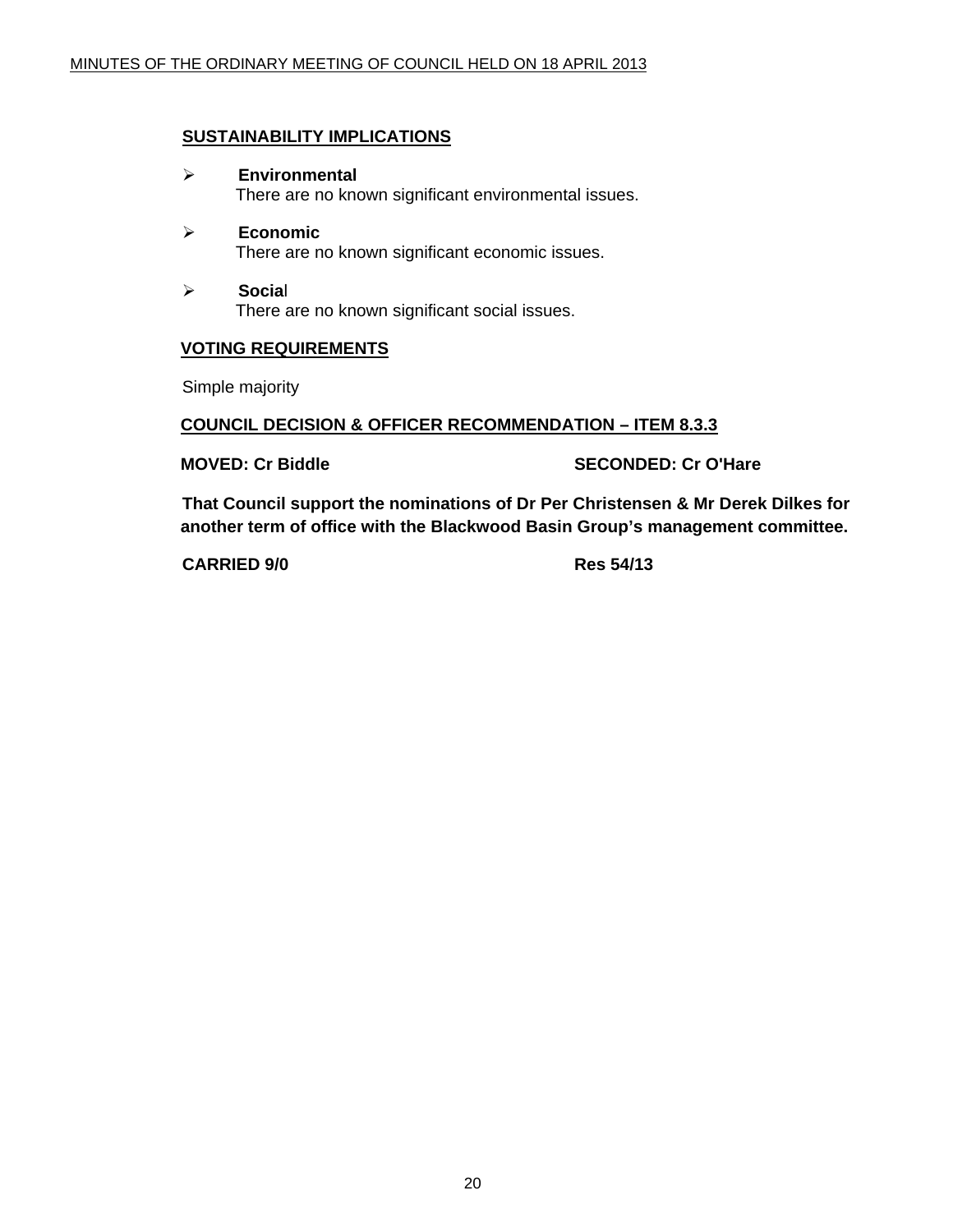#### **SUSTAINABILITY IMPLICATIONS**

- ¾ **Environmental**  There are no known significant environmental issues.
- ¾ **Economic**  There are no known significant economic issues.
- ¾ **Socia**l There are no known significant social issues.

#### **VOTING REQUIREMENTS**

Simple majority

#### **COUNCIL DECISION & OFFICER RECOMMENDATION – ITEM 8.3.3**

#### **MOVED: Cr Biddle SECONDED: Cr O'Hare**

**That Council support the nominations of Dr Per Christensen & Mr Derek Dilkes for another term of office with the Blackwood Basin Group's management committee.** 

**CARRIED 9/0 Res 54/13**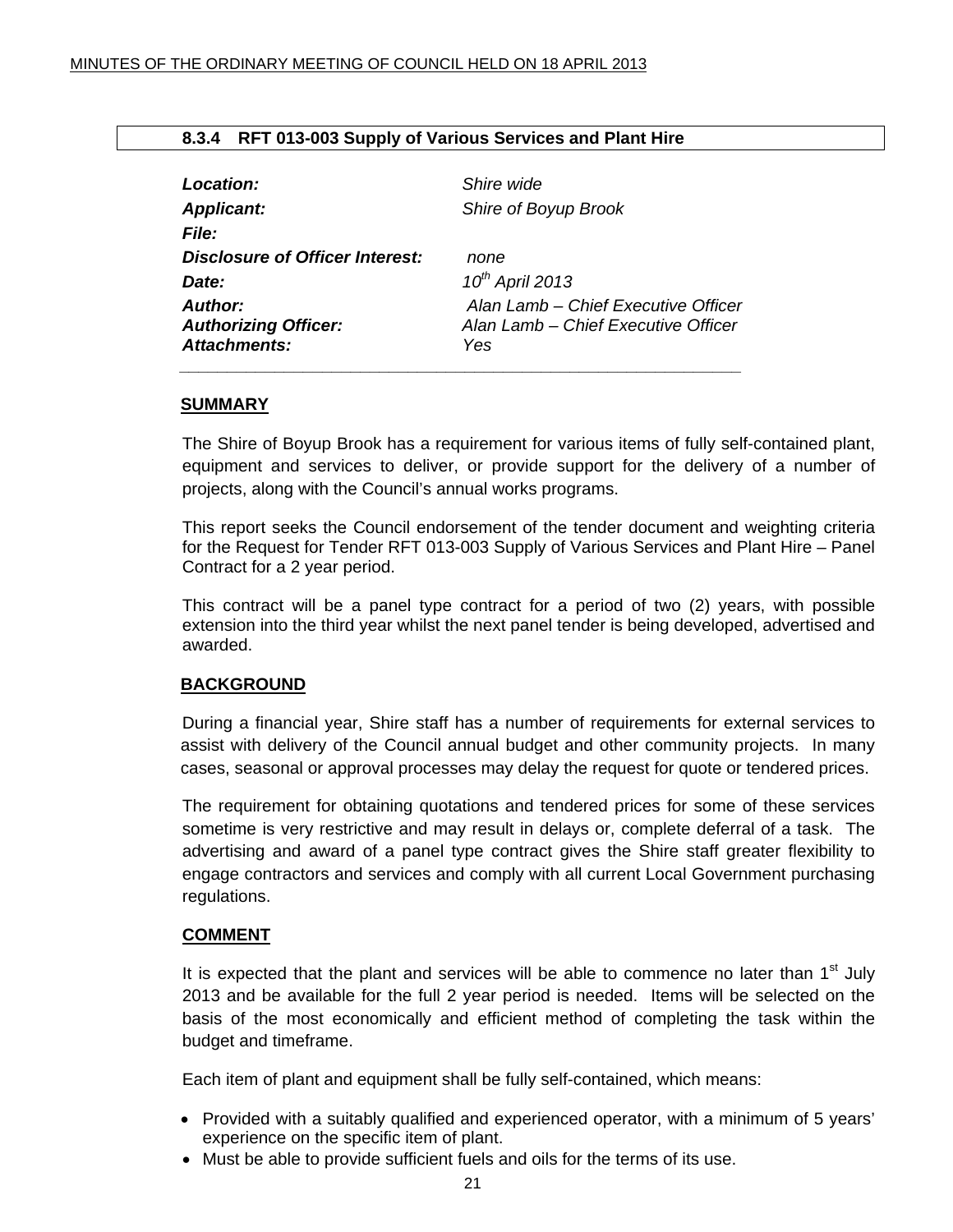#### **8.3.4 RFT 013-003 Supply of Various Services and Plant Hire**

<span id="page-20-0"></span>

| Location:                       | Shire wide                          |
|---------------------------------|-------------------------------------|
| <b>Applicant:</b>               | Shire of Boyup Brook                |
| <b>File:</b>                    |                                     |
| Disclosure of Officer Interest: | none                                |
| Date:                           | $10^{th}$ April 2013                |
| Author:                         | Alan Lamb – Chief Executive Officer |
| <b>Authorizing Officer:</b>     | Alan Lamb - Chief Executive Officer |
| Attachments:                    | Yes                                 |
|                                 |                                     |

#### **SUMMARY**

The Shire of Boyup Brook has a requirement for various items of fully self-contained plant, equipment and services to deliver, or provide support for the delivery of a number of projects, along with the Council's annual works programs.

This report seeks the Council endorsement of the tender document and weighting criteria for the Request for Tender RFT 013-003 Supply of Various Services and Plant Hire – Panel Contract for a 2 year period.

This contract will be a panel type contract for a period of two (2) years, with possible extension into the third year whilst the next panel tender is being developed, advertised and awarded.

#### **BACKGROUND**

During a financial year, Shire staff has a number of requirements for external services to assist with delivery of the Council annual budget and other community projects. In many cases, seasonal or approval processes may delay the request for quote or tendered prices.

The requirement for obtaining quotations and tendered prices for some of these services sometime is very restrictive and may result in delays or, complete deferral of a task. The advertising and award of a panel type contract gives the Shire staff greater flexibility to engage contractors and services and comply with all current Local Government purchasing regulations.

#### **COMMENT**

It is expected that the plant and services will be able to commence no later than  $1<sup>st</sup>$  July 2013 and be available for the full 2 year period is needed. Items will be selected on the basis of the most economically and efficient method of completing the task within the budget and timeframe.

Each item of plant and equipment shall be fully self-contained, which means:

- Provided with a suitably qualified and experienced operator, with a minimum of 5 years' experience on the specific item of plant.
- Must be able to provide sufficient fuels and oils for the terms of its use.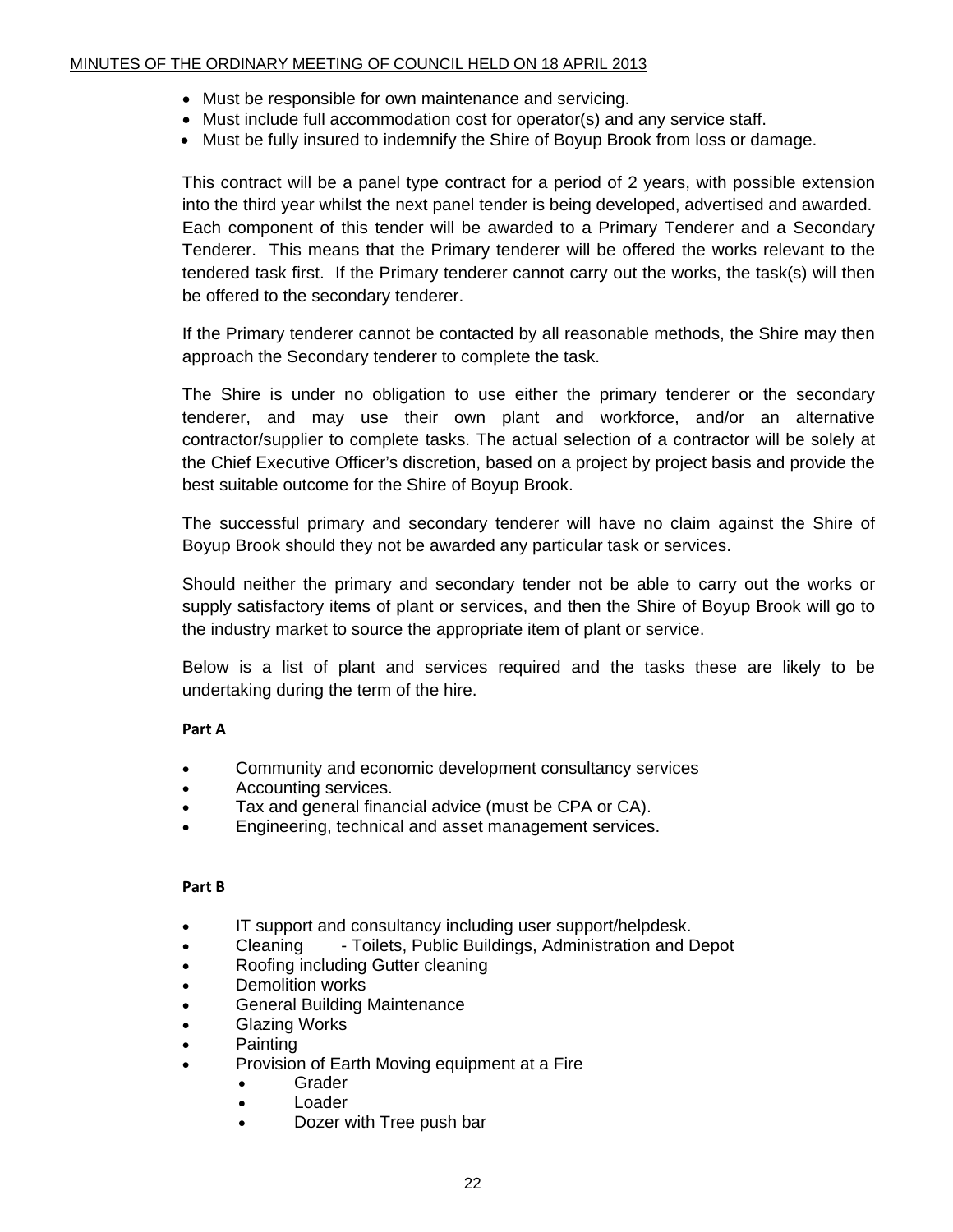- Must be responsible for own maintenance and servicing.
- Must include full accommodation cost for operator(s) and any service staff.
- Must be fully insured to indemnify the Shire of Boyup Brook from loss or damage.

This contract will be a panel type contract for a period of 2 years, with possible extension into the third year whilst the next panel tender is being developed, advertised and awarded. Each component of this tender will be awarded to a Primary Tenderer and a Secondary Tenderer. This means that the Primary tenderer will be offered the works relevant to the tendered task first. If the Primary tenderer cannot carry out the works, the task(s) will then be offered to the secondary tenderer.

If the Primary tenderer cannot be contacted by all reasonable methods, the Shire may then approach the Secondary tenderer to complete the task.

The Shire is under no obligation to use either the primary tenderer or the secondary tenderer, and may use their own plant and workforce, and/or an alternative contractor/supplier to complete tasks. The actual selection of a contractor will be solely at the Chief Executive Officer's discretion, based on a project by project basis and provide the best suitable outcome for the Shire of Boyup Brook.

The successful primary and secondary tenderer will have no claim against the Shire of Boyup Brook should they not be awarded any particular task or services.

Should neither the primary and secondary tender not be able to carry out the works or supply satisfactory items of plant or services, and then the Shire of Boyup Brook will go to the industry market to source the appropriate item of plant or service.

Below is a list of plant and services required and the tasks these are likely to be undertaking during the term of the hire.

#### **Part A**

- Community and economic development consultancy services
- Accounting services.
- Tax and general financial advice (must be CPA or CA).
- Engineering, technical and asset management services.

#### **Part B**

- IT support and consultancy including user support/helpdesk.
- Cleaning Toilets, Public Buildings, Administration and Depot
- Roofing including Gutter cleaning
- Demolition works
- General Building Maintenance
- Glazing Works
- Painting
- Provision of Earth Moving equipment at a Fire
	- Grader
	- Loader
	- Dozer with Tree push bar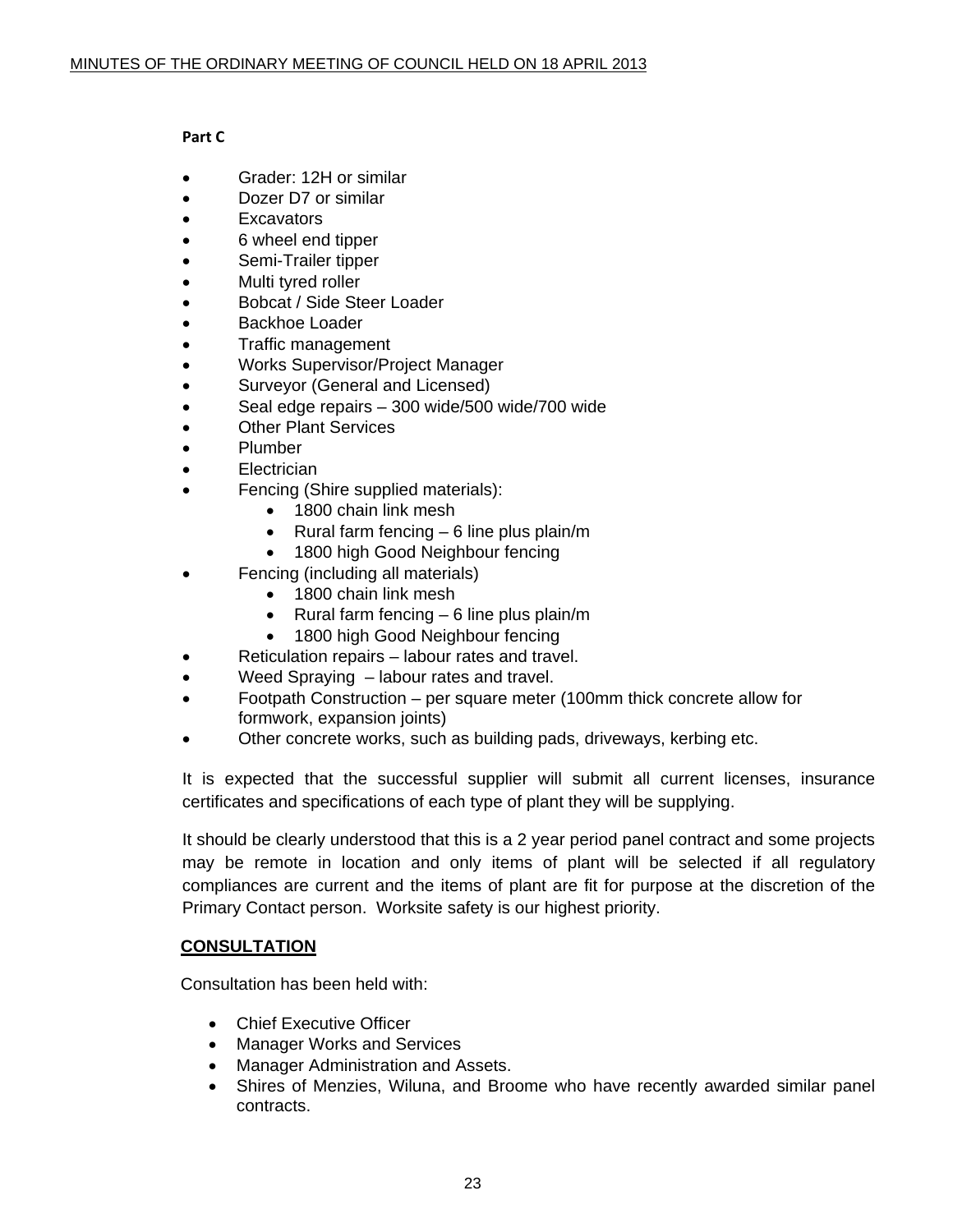#### **Part C**

- Grader: 12H or similar
- Dozer D7 or similar
- **Excavators**
- 6 wheel end tipper
- Semi-Trailer tipper
- Multi tyred roller
- Bobcat / Side Steer Loader
- Backhoe Loader
- Traffic management
- Works Supervisor/Project Manager
- Surveyor (General and Licensed)
- Seal edge repairs 300 wide/500 wide/700 wide
- **Other Plant Services**
- Plumber
- Electrician
- Fencing (Shire supplied materials):
	- 1800 chain link mesh
	- Rural farm fencing 6 line plus plain/m
	- 1800 high Good Neighbour fencing
- Fencing (including all materials)
	- 1800 chain link mesh
	- Rural farm fencing  $-6$  line plus plain/m
	- 1800 high Good Neighbour fencing
- Reticulation repairs labour rates and travel.
- Weed Spraying labour rates and travel.
- Footpath Construction per square meter (100mm thick concrete allow for formwork, expansion joints)
- Other concrete works, such as building pads, driveways, kerbing etc.

It is expected that the successful supplier will submit all current licenses, insurance certificates and specifications of each type of plant they will be supplying.

It should be clearly understood that this is a 2 year period panel contract and some projects may be remote in location and only items of plant will be selected if all regulatory compliances are current and the items of plant are fit for purpose at the discretion of the Primary Contact person. Worksite safety is our highest priority.

#### **CONSULTATION**

Consultation has been held with:

- Chief Executive Officer
- Manager Works and Services
- Manager Administration and Assets.
- Shires of Menzies, Wiluna, and Broome who have recently awarded similar panel contracts.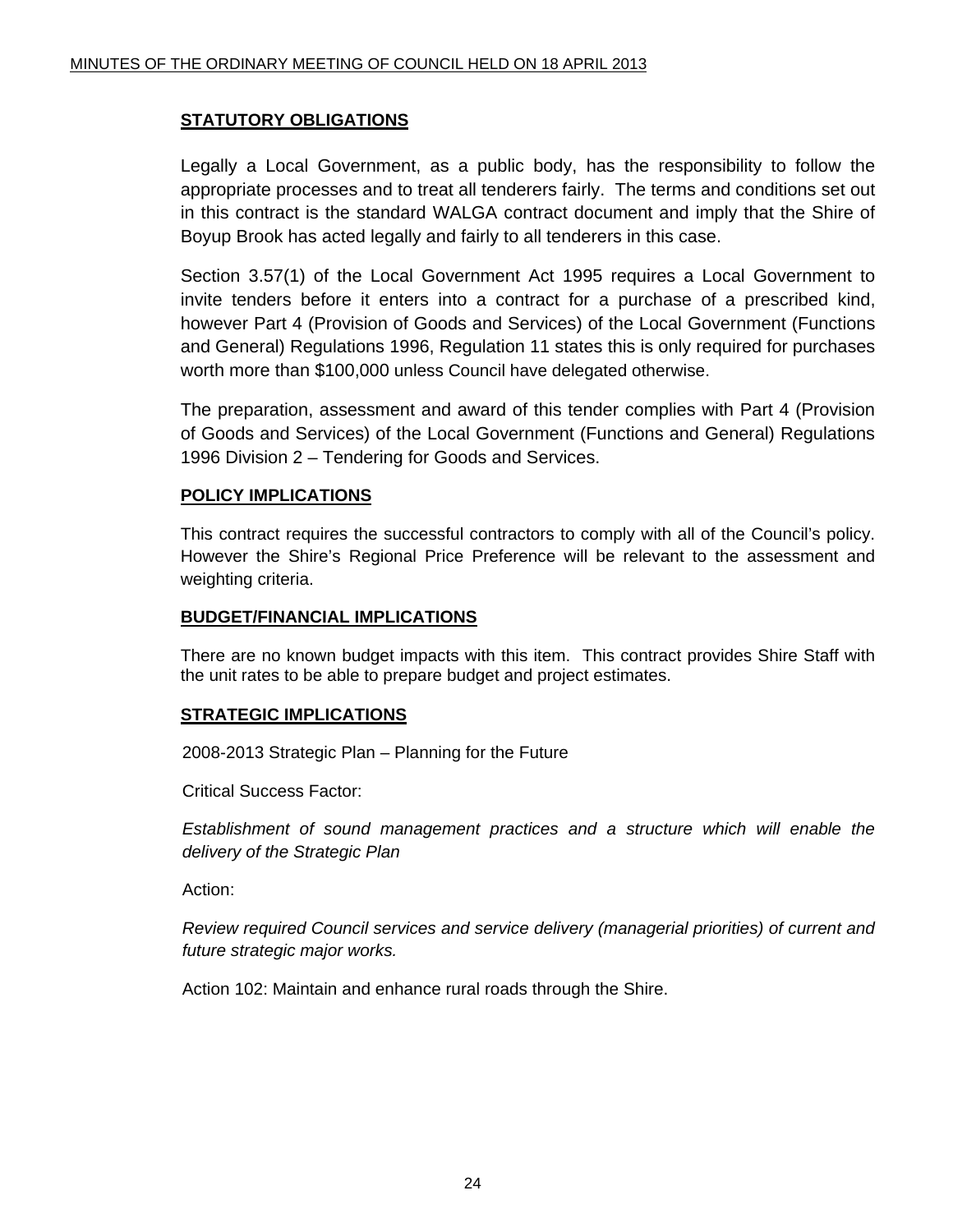#### **STATUTORY OBLIGATIONS**

Legally a Local Government, as a public body, has the responsibility to follow the appropriate processes and to treat all tenderers fairly. The terms and conditions set out in this contract is the standard WALGA contract document and imply that the Shire of Boyup Brook has acted legally and fairly to all tenderers in this case.

Section 3.57(1) of the Local Government Act 1995 requires a Local Government to invite tenders before it enters into a contract for a purchase of a prescribed kind, however Part 4 (Provision of Goods and Services) of the Local Government (Functions and General) Regulations 1996, Regulation 11 states this is only required for purchases worth more than \$100,000 unless Council have delegated otherwise.

The preparation, assessment and award of this tender complies with Part 4 (Provision of Goods and Services) of the Local Government (Functions and General) Regulations 1996 Division 2 – Tendering for Goods and Services.

#### **POLICY IMPLICATIONS**

This contract requires the successful contractors to comply with all of the Council's policy. However the Shire's Regional Price Preference will be relevant to the assessment and weighting criteria.

#### **BUDGET/FINANCIAL IMPLICATIONS**

There are no known budget impacts with this item. This contract provides Shire Staff with the unit rates to be able to prepare budget and project estimates.

#### **STRATEGIC IMPLICATIONS**

2008-2013 Strategic Plan – Planning for the Future

Critical Success Factor:

*Establishment of sound management practices and a structure which will enable the delivery of the Strategic Plan* 

Action:

*Review required Council services and service delivery (managerial priorities) of current and future strategic major works.* 

Action 102: Maintain and enhance rural roads through the Shire.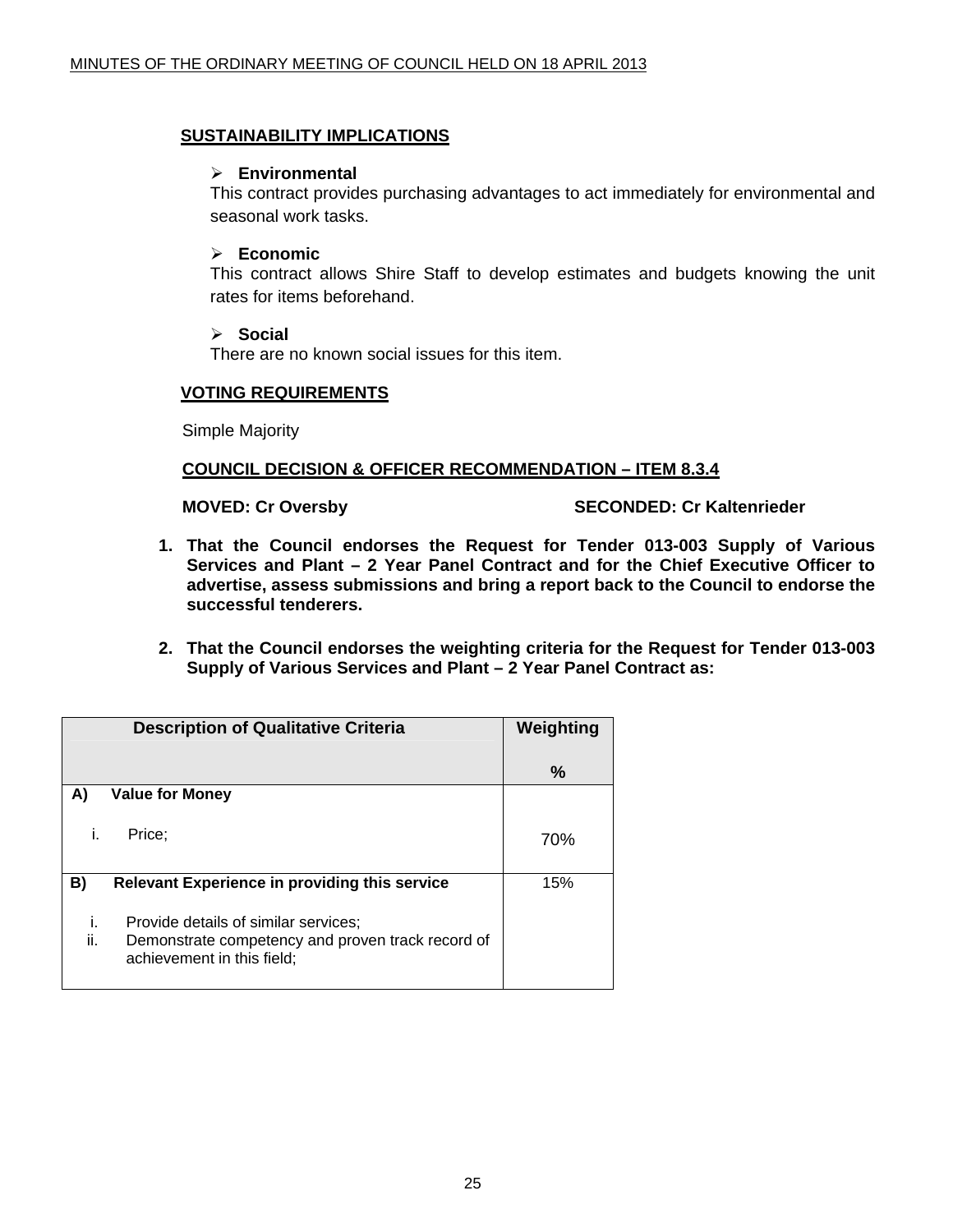#### **SUSTAINABILITY IMPLICATIONS**

#### ¾ **Environmental**

This contract provides purchasing advantages to act immediately for environmental and seasonal work tasks.

#### ¾ **Economic**

This contract allows Shire Staff to develop estimates and budgets knowing the unit rates for items beforehand.

#### ¾ **Social**

There are no known social issues for this item.

#### **VOTING REQUIREMENTS**

Simple Majority

#### **COUNCIL DECISION & OFFICER RECOMMENDATION – ITEM 8.3.4**

#### **MOVED: Cr Oversby SECONDED: Cr Kaltenrieder**

- **1. That the Council endorses the Request for Tender 013-003 Supply of Various Services and Plant – 2 Year Panel Contract and for the Chief Executive Officer to advertise, assess submissions and bring a report back to the Council to endorse the successful tenderers.**
- **2. That the Council endorses the weighting criteria for the Request for Tender 013-003 Supply of Various Services and Plant – 2 Year Panel Contract as:**

| <b>Description of Qualitative Criteria</b> |                                                                                                                         | Weighting |
|--------------------------------------------|-------------------------------------------------------------------------------------------------------------------------|-----------|
|                                            |                                                                                                                         | ℅         |
| A)                                         | <b>Value for Money</b>                                                                                                  |           |
| i.                                         | Price:                                                                                                                  | 70%       |
| B)                                         | Relevant Experience in providing this service                                                                           | 15%       |
| i.<br>ii.                                  | Provide details of similar services;<br>Demonstrate competency and proven track record of<br>achievement in this field; |           |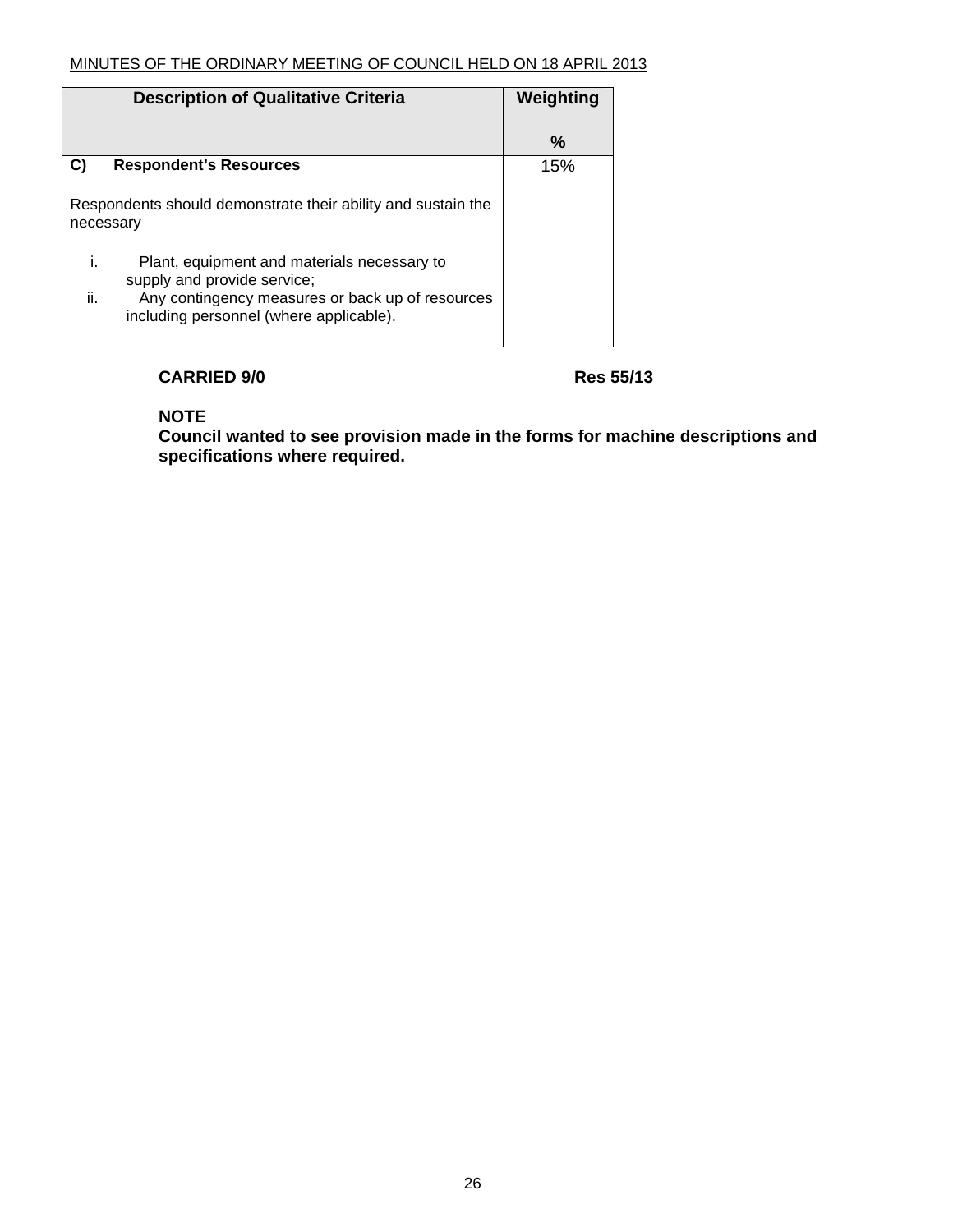| <b>Description of Qualitative Criteria</b>                                                         | Weighting |
|----------------------------------------------------------------------------------------------------|-----------|
|                                                                                                    | ℅         |
| C)<br><b>Respondent's Resources</b>                                                                | 15%       |
| Respondents should demonstrate their ability and sustain the<br>necessary                          |           |
| j.<br>Plant, equipment and materials necessary to<br>supply and provide service;                   |           |
| ii.<br>Any contingency measures or back up of resources<br>including personnel (where applicable). |           |

#### **CARRIED 9/0 Res 55/13**

**NOTE** 

**Council wanted to see provision made in the forms for machine descriptions and specifications where required.**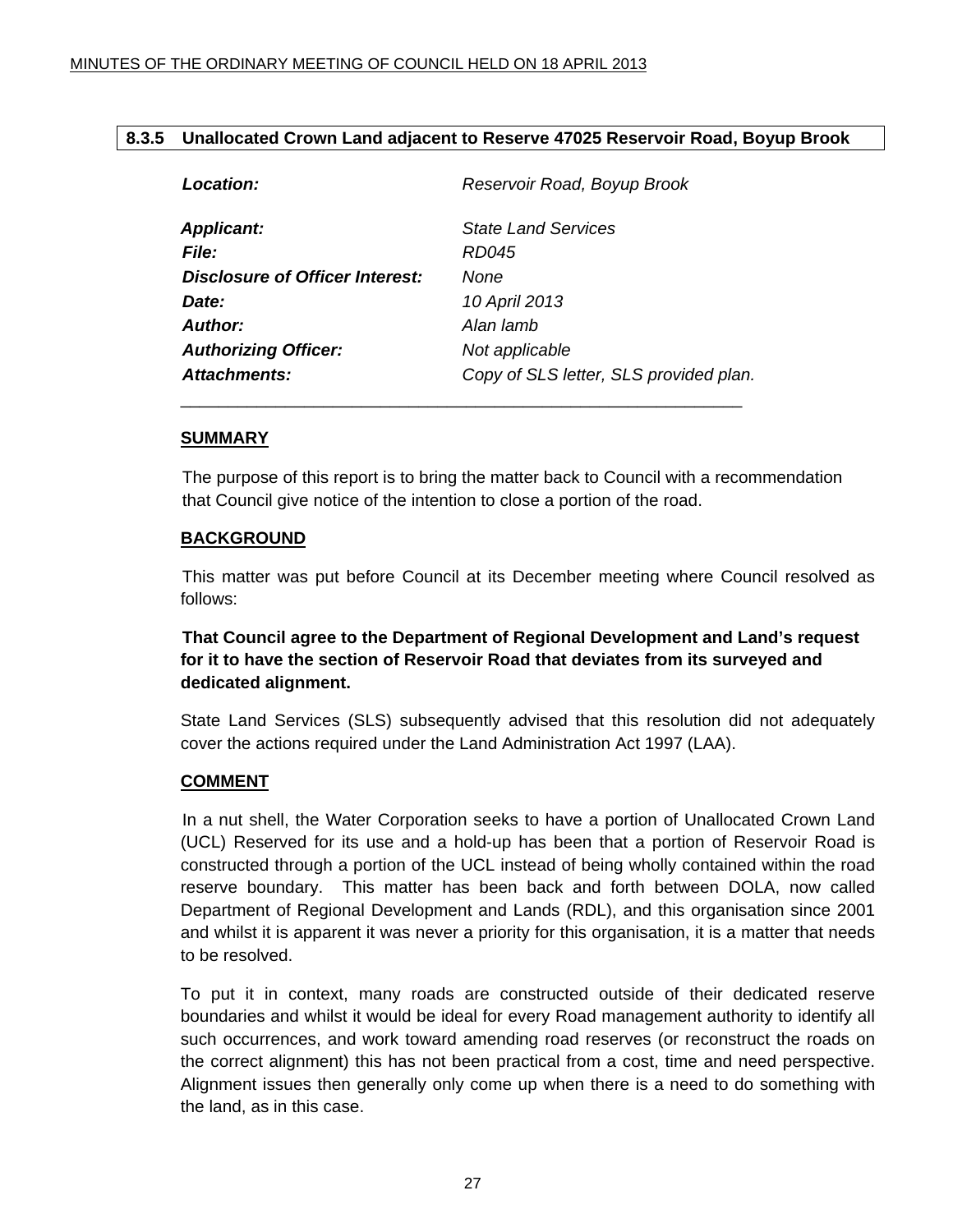#### <span id="page-26-0"></span>**8.3.5 Unallocated Crown Land adjacent to Reserve 47025 Reservoir Road, Boyup Brook**

| Location:                       | Reservoir Road, Boyup Brook            |  |
|---------------------------------|----------------------------------------|--|
| <b>Applicant:</b>               | <b>State Land Services</b>             |  |
| <b>File:</b>                    | <i>RD045</i>                           |  |
| Disclosure of Officer Interest: | None                                   |  |
| Date:                           | 10 April 2013                          |  |
| Author:                         | Alan lamb                              |  |
| <b>Authorizing Officer:</b>     | Not applicable                         |  |
| Attachments:                    | Copy of SLS letter, SLS provided plan. |  |
|                                 |                                        |  |

#### **SUMMARY**

The purpose of this report is to bring the matter back to Council with a recommendation that Council give notice of the intention to close a portion of the road.

#### **BACKGROUND**

 This matter was put before Council at its December meeting where Council resolved as follows:

**That Council agree to the Department of Regional Development and Land's request for it to have the section of Reservoir Road that deviates from its surveyed and dedicated alignment.** 

State Land Services (SLS) subsequently advised that this resolution did not adequately cover the actions required under the Land Administration Act 1997 (LAA).

#### **COMMENT**

 In a nut shell, the Water Corporation seeks to have a portion of Unallocated Crown Land (UCL) Reserved for its use and a hold-up has been that a portion of Reservoir Road is constructed through a portion of the UCL instead of being wholly contained within the road reserve boundary. This matter has been back and forth between DOLA, now called Department of Regional Development and Lands (RDL), and this organisation since 2001 and whilst it is apparent it was never a priority for this organisation, it is a matter that needs to be resolved.

To put it in context, many roads are constructed outside of their dedicated reserve boundaries and whilst it would be ideal for every Road management authority to identify all such occurrences, and work toward amending road reserves (or reconstruct the roads on the correct alignment) this has not been practical from a cost, time and need perspective. Alignment issues then generally only come up when there is a need to do something with the land, as in this case.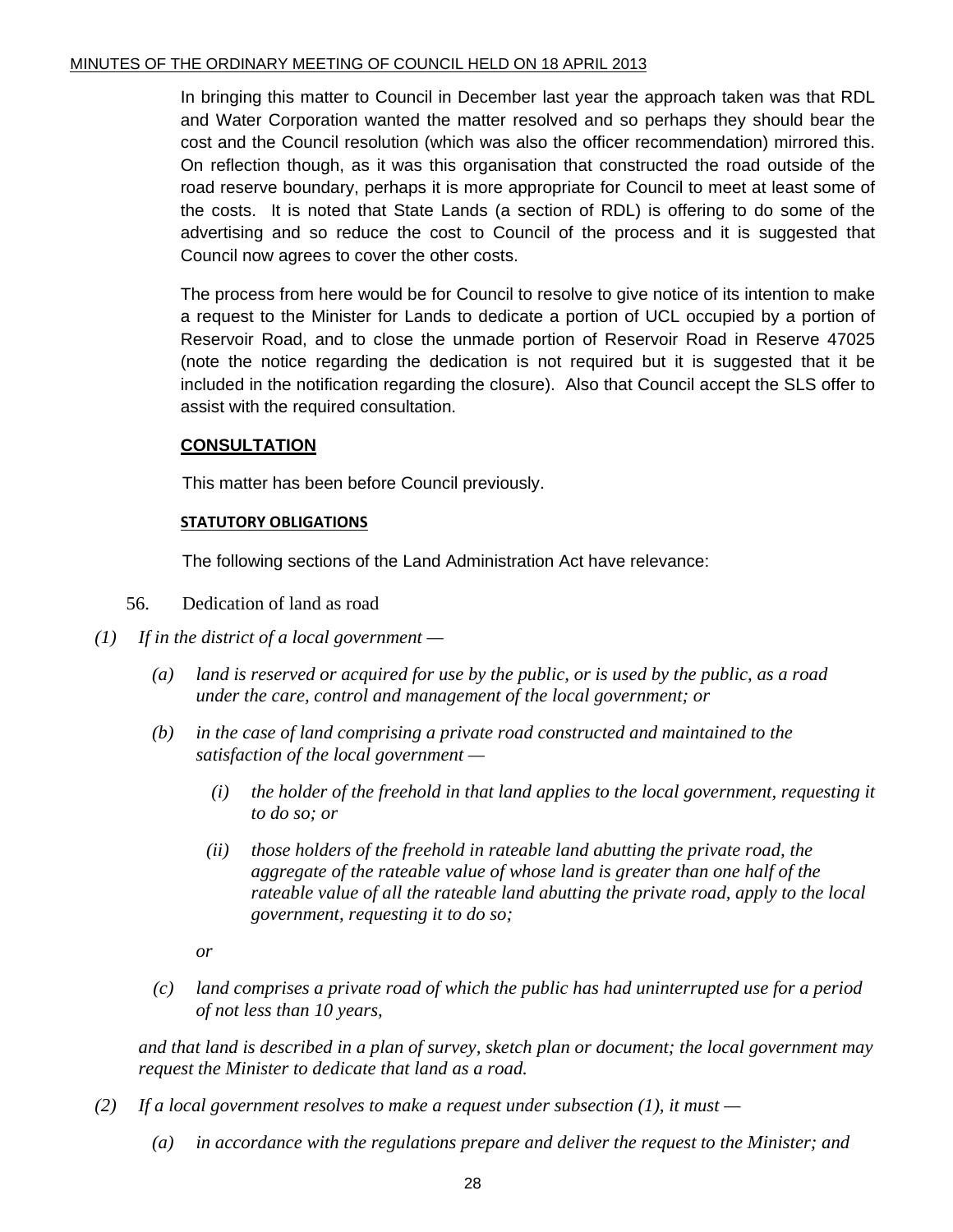In bringing this matter to Council in December last year the approach taken was that RDL and Water Corporation wanted the matter resolved and so perhaps they should bear the cost and the Council resolution (which was also the officer recommendation) mirrored this. On reflection though, as it was this organisation that constructed the road outside of the road reserve boundary, perhaps it is more appropriate for Council to meet at least some of the costs. It is noted that State Lands (a section of RDL) is offering to do some of the advertising and so reduce the cost to Council of the process and it is suggested that Council now agrees to cover the other costs.

The process from here would be for Council to resolve to give notice of its intention to make a request to the Minister for Lands to dedicate a portion of UCL occupied by a portion of Reservoir Road, and to close the unmade portion of Reservoir Road in Reserve 47025 (note the notice regarding the dedication is not required but it is suggested that it be included in the notification regarding the closure). Also that Council accept the SLS offer to assist with the required consultation.

#### **CONSULTATION**

This matter has been before Council previously.

#### **STATUTORY OBLIGATIONS**

The following sections of the Land Administration Act have relevance:

- 56. Dedication of land as road
- *(1) If in the district of a local government* 
	- *(a) land is reserved or acquired for use by the public, or is used by the public, as a road under the care, control and management of the local government; or*
	- *(b) in the case of land comprising a private road constructed and maintained to the satisfaction of the local government —* 
		- *(i) the holder of the freehold in that land applies to the local government, requesting it to do so; or*
		- *(ii) those holders of the freehold in rateable land abutting the private road, the aggregate of the rateable value of whose land is greater than one half of the rateable value of all the rateable land abutting the private road, apply to the local government, requesting it to do so;*

 *or* 

 *(c) land comprises a private road of which the public has had uninterrupted use for a period of not less than 10 years,* 

 *and that land is described in a plan of survey, sketch plan or document; the local government may request the Minister to dedicate that land as a road.* 

- *(2) If a local government resolves to make a request under subsection (1), it must* 
	- *(a) in accordance with the regulations prepare and deliver the request to the Minister; and*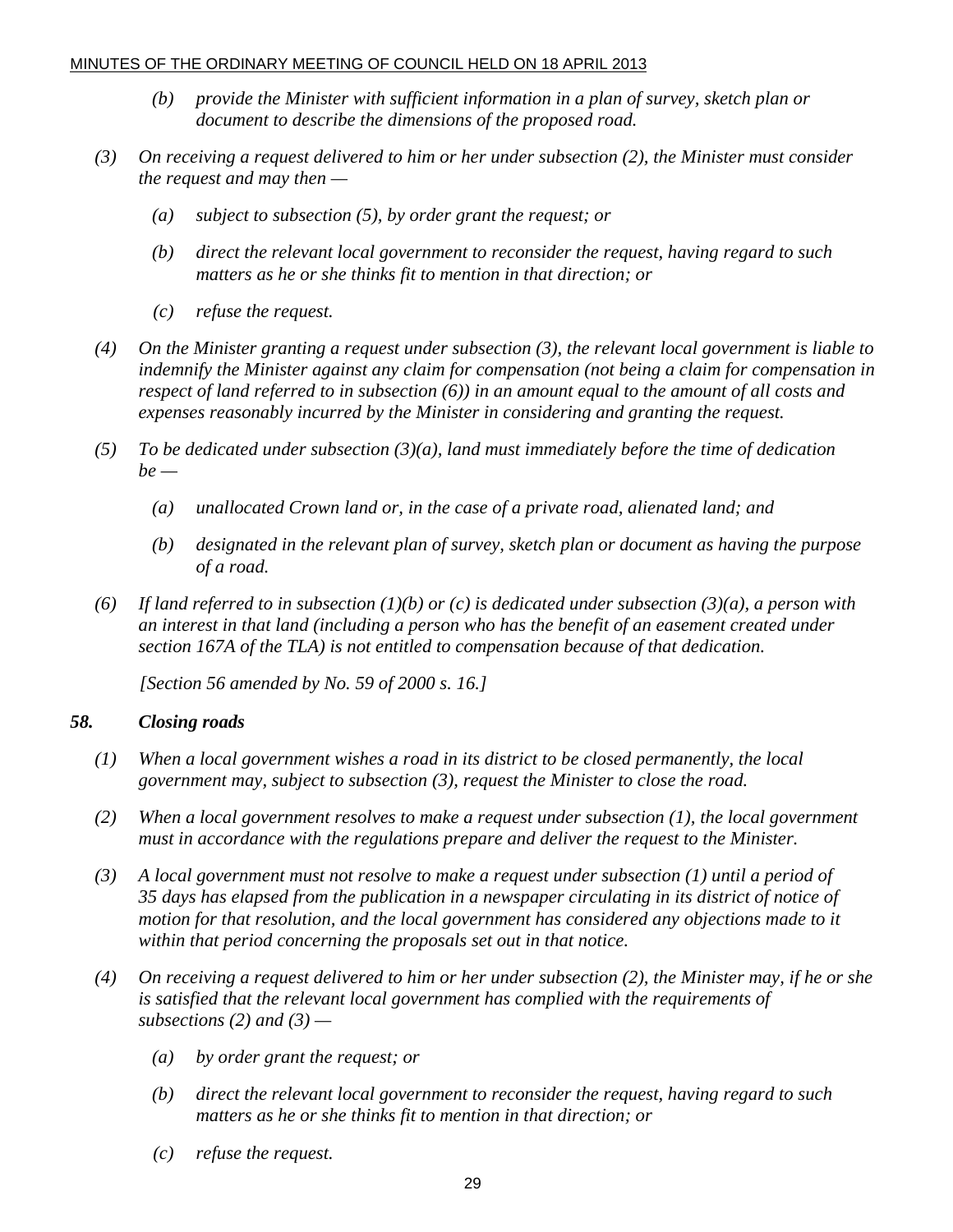- *(b) provide the Minister with sufficient information in a plan of survey, sketch plan or document to describe the dimensions of the proposed road.*
- *(3) On receiving a request delivered to him or her under subsection (2), the Minister must consider the request and may then —* 
	- *(a) subject to subsection (5), by order grant the request; or*
	- *(b) direct the relevant local government to reconsider the request, having regard to such matters as he or she thinks fit to mention in that direction; or*
	- *(c) refuse the request.*
- *(4) On the Minister granting a request under subsection (3), the relevant local government is liable to indemnify the Minister against any claim for compensation (not being a claim for compensation in respect of land referred to in subsection (6)) in an amount equal to the amount of all costs and expenses reasonably incurred by the Minister in considering and granting the request.*
- *(5) To be dedicated under subsection (3)(a), land must immediately before the time of dedication be —* 
	- *(a) unallocated Crown land or, in the case of a private road, alienated land; and*
	- *(b) designated in the relevant plan of survey, sketch plan or document as having the purpose of a road.*
- *(6) If land referred to in subsection (1)(b) or (c) is dedicated under subsection (3)(a), a person with an interest in that land (including a person who has the benefit of an easement created under section 167A of the TLA) is not entitled to compensation because of that dedication.*

 *[Section 56 amended by No. 59 of 2000 s. 16.]* 

#### *58. Closing roads*

- *(1) When a local government wishes a road in its district to be closed permanently, the local government may, subject to subsection (3), request the Minister to close the road.*
- *(2) When a local government resolves to make a request under subsection (1), the local government must in accordance with the regulations prepare and deliver the request to the Minister.*
- *(3) A local government must not resolve to make a request under subsection (1) until a period of 35 days has elapsed from the publication in a newspaper circulating in its district of notice of motion for that resolution, and the local government has considered any objections made to it within that period concerning the proposals set out in that notice.*
- *(4) On receiving a request delivered to him or her under subsection (2), the Minister may, if he or she is satisfied that the relevant local government has complied with the requirements of subsections (2) and (3) —* 
	- *(a) by order grant the request; or*
	- *(b) direct the relevant local government to reconsider the request, having regard to such matters as he or she thinks fit to mention in that direction; or*
	- *(c) refuse the request.*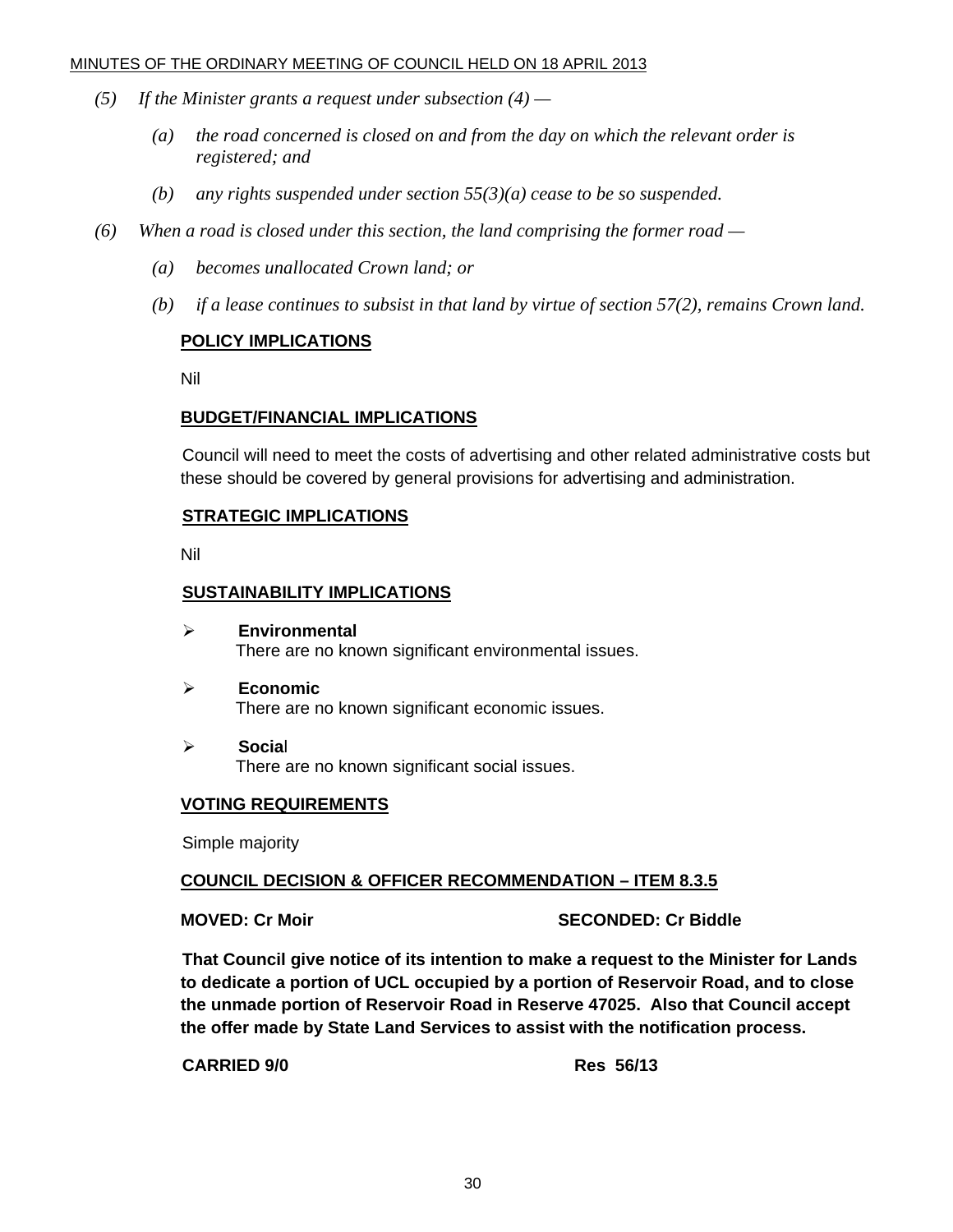- *(5) If the Minister grants a request under subsection (4)* 
	- *(a) the road concerned is closed on and from the day on which the relevant order is registered; and*
	- *(b) any rights suspended under section 55(3)(a) cease to be so suspended.*
- *(6) When a road is closed under this section, the land comprising the former road* 
	- *(a) becomes unallocated Crown land; or*
	- *(b) if a lease continues to subsist in that land by virtue of section 57(2), remains Crown land.*

#### **POLICY IMPLICATIONS**

Nil

#### **BUDGET/FINANCIAL IMPLICATIONS**

Council will need to meet the costs of advertising and other related administrative costs but these should be covered by general provisions for advertising and administration.

#### **STRATEGIC IMPLICATIONS**

Nil

#### **SUSTAINABILITY IMPLICATIONS**

- ¾ **Environmental**  There are no known significant environmental issues.
- ¾ **Economic**  There are no known significant economic issues.
- ¾ **Socia**l There are no known significant social issues.

#### **VOTING REQUIREMENTS**

Simple majority

#### **COUNCIL DECISION & OFFICER RECOMMENDATION – ITEM 8.3.5**

**MOVED: Cr Moir SECONDED: Cr Biddle** 

**That Council give notice of its intention to make a request to the Minister for Lands to dedicate a portion of UCL occupied by a portion of Reservoir Road, and to close the unmade portion of Reservoir Road in Reserve 47025. Also that Council accept the offer made by State Land Services to assist with the notification process.** 

**CARRIED 9/0 Res 56/13**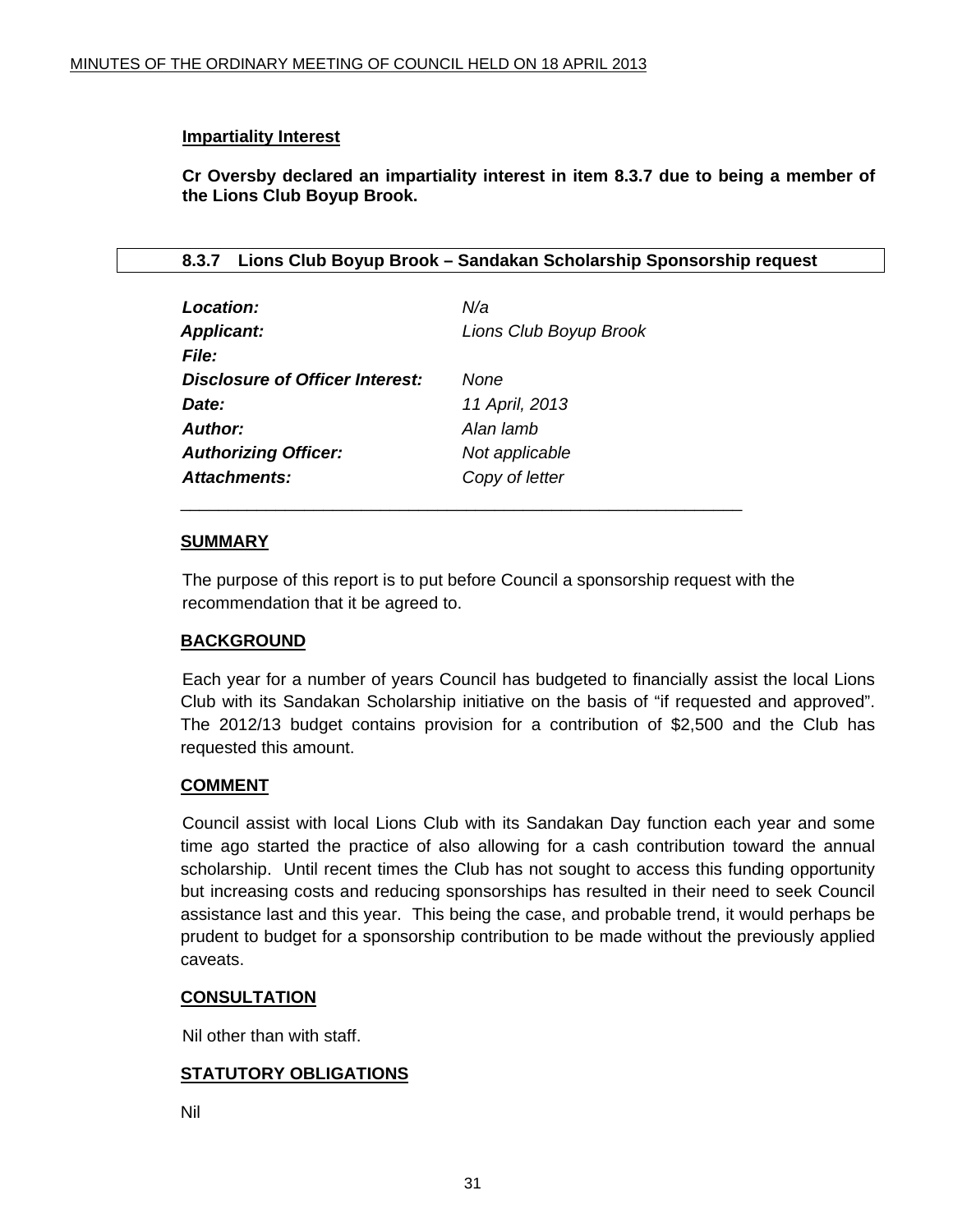#### <span id="page-30-0"></span>**Impartiality Interest**

**Cr Oversby declared an impartiality interest in item 8.3.7 due to being a member of the Lions Club Boyup Brook.** 

#### **8.3.7 Lions Club Boyup Brook – Sandakan Scholarship Sponsorship request**

| Location:                       | N/a                    |
|---------------------------------|------------------------|
| <b>Applicant:</b>               | Lions Club Boyup Brook |
| <b>File:</b>                    |                        |
| Disclosure of Officer Interest: | None                   |
| Date:                           | 11 April, 2013         |
| Author:                         | Alan lamb              |
| <b>Authorizing Officer:</b>     | Not applicable         |
| Attachments:                    | Copy of letter         |

#### **SUMMARY**

The purpose of this report is to put before Council a sponsorship request with the recommendation that it be agreed to.

#### **BACKGROUND**

 Each year for a number of years Council has budgeted to financially assist the local Lions Club with its Sandakan Scholarship initiative on the basis of "if requested and approved". The 2012/13 budget contains provision for a contribution of \$2,500 and the Club has requested this amount.

#### **COMMENT**

 Council assist with local Lions Club with its Sandakan Day function each year and some time ago started the practice of also allowing for a cash contribution toward the annual scholarship. Until recent times the Club has not sought to access this funding opportunity but increasing costs and reducing sponsorships has resulted in their need to seek Council assistance last and this year. This being the case, and probable trend, it would perhaps be prudent to budget for a sponsorship contribution to be made without the previously applied caveats.

#### **CONSULTATION**

Nil other than with staff.

#### **STATUTORY OBLIGATIONS**

Nil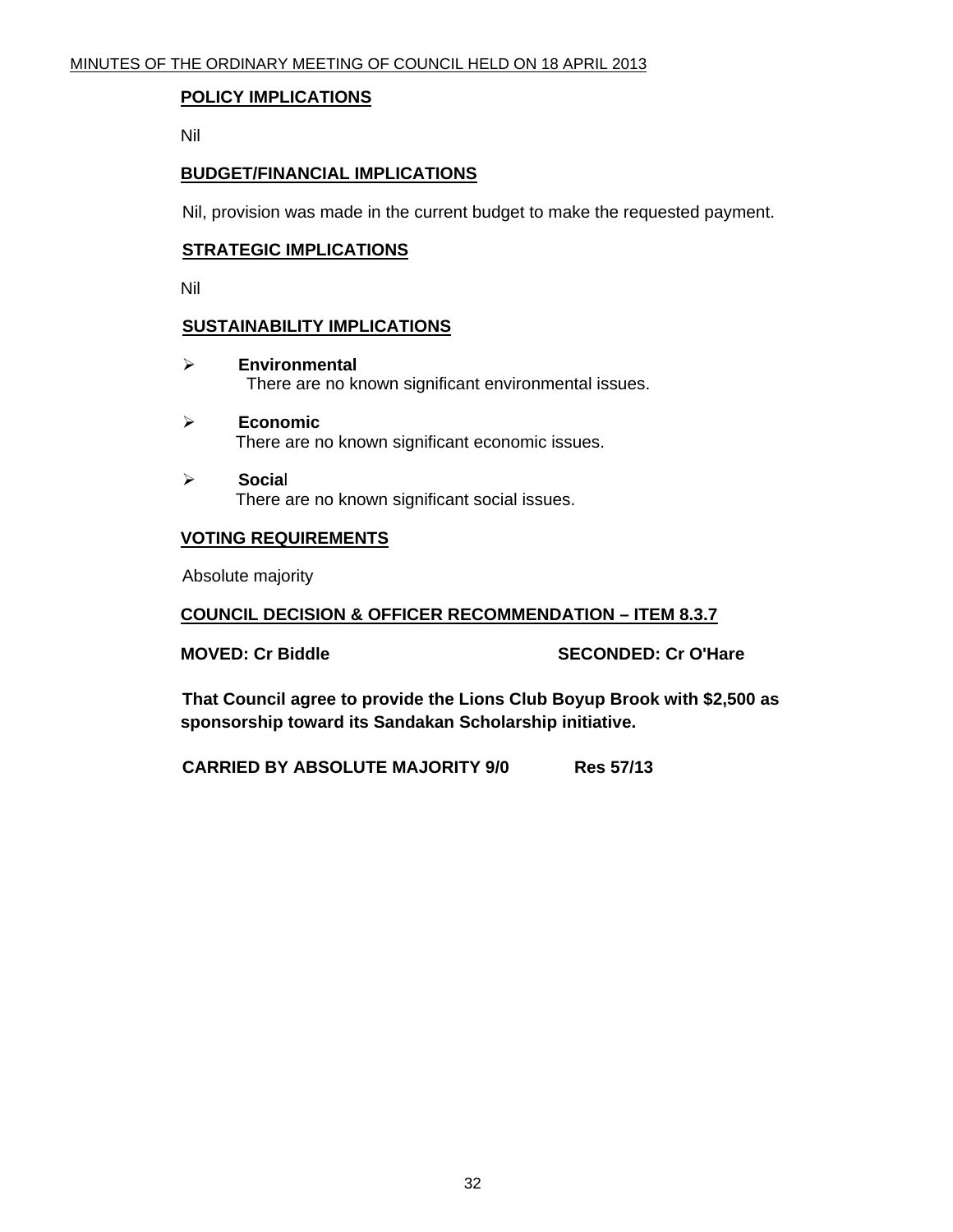#### **POLICY IMPLICATIONS**

Nil

#### **BUDGET/FINANCIAL IMPLICATIONS**

Nil, provision was made in the current budget to make the requested payment.

#### **STRATEGIC IMPLICATIONS**

Nil

#### **SUSTAINABILITY IMPLICATIONS**

- ¾ **Environmental**  There are no known significant environmental issues.
- ¾ **Economic**  There are no known significant economic issues.
- ¾ **Socia**l There are no known significant social issues.

#### **VOTING REQUIREMENTS**

Absolute majority

#### **COUNCIL DECISION & OFFICER RECOMMENDATION – ITEM 8.3.7**

**MOVED: Cr Biddle SECONDED: Cr O'Hare** 

**That Council agree to provide the Lions Club Boyup Brook with \$2,500 as sponsorship toward its Sandakan Scholarship initiative.** 

**CARRIED BY ABSOLUTE MAJORITY 9/0 Res 57/13**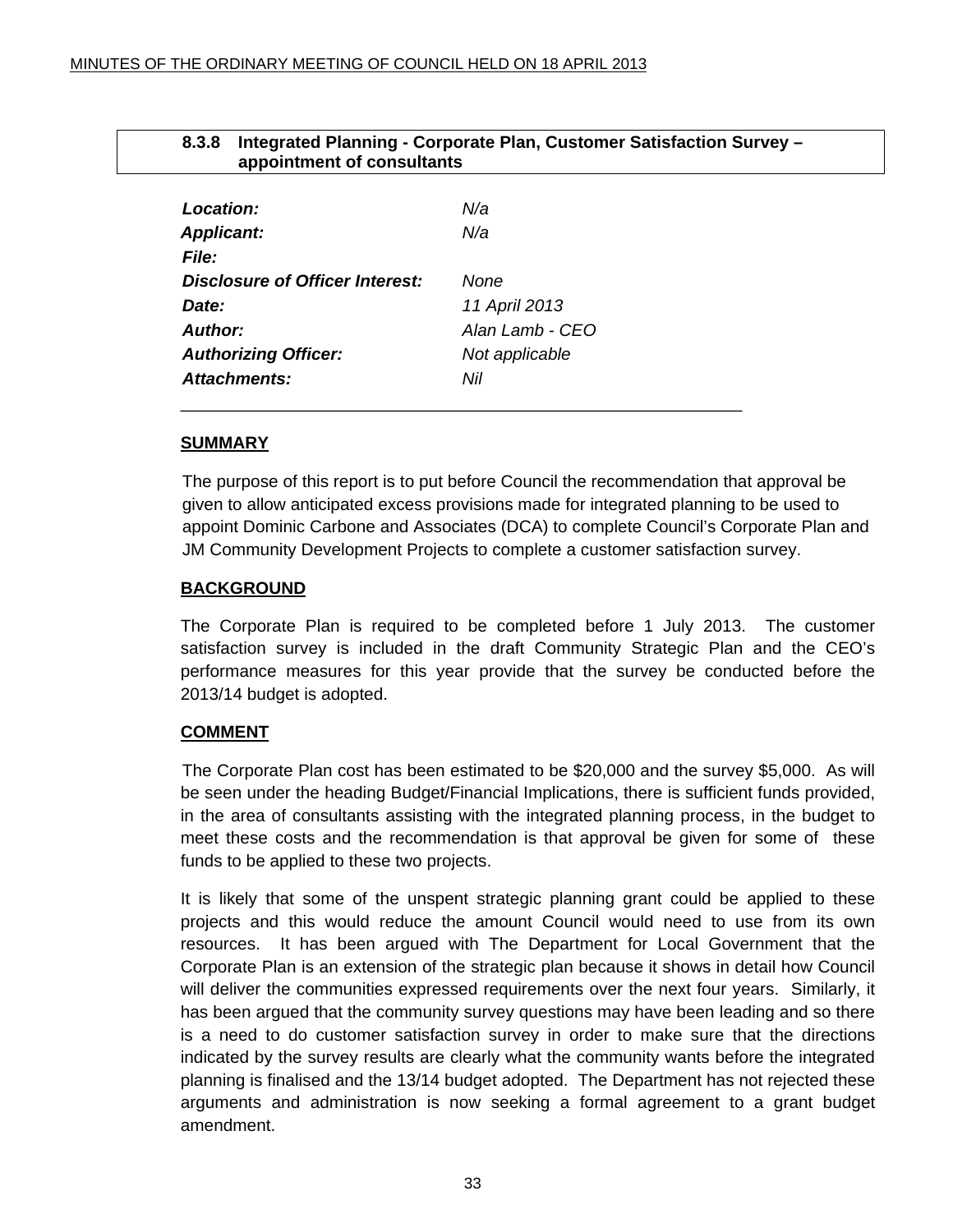<span id="page-32-0"></span>

| Integrated Planning - Corporate Plan, Customer Satisfaction Survey -<br>8.3.8<br>appointment of consultants |                 |  |
|-------------------------------------------------------------------------------------------------------------|-----------------|--|
|                                                                                                             |                 |  |
| Location:                                                                                                   | N/a             |  |
| <b>Applicant:</b>                                                                                           | N/a             |  |
| <b>File:</b>                                                                                                |                 |  |
| Disclosure of Officer Interest:                                                                             | None            |  |
| Date:                                                                                                       | 11 April 2013   |  |
| <b>Author:</b>                                                                                              | Alan Lamb - CEO |  |
| <b>Authorizing Officer:</b>                                                                                 | Not applicable  |  |
| Attachments:                                                                                                | Nil             |  |

\_\_\_\_\_\_\_\_\_\_\_\_\_\_\_\_\_\_\_\_\_\_\_\_\_\_\_\_\_\_\_\_\_\_\_\_\_\_\_\_\_\_\_\_\_\_\_\_\_\_\_\_\_\_\_\_\_\_\_

#### **SUMMARY**

The purpose of this report is to put before Council the recommendation that approval be given to allow anticipated excess provisions made for integrated planning to be used to appoint Dominic Carbone and Associates (DCA) to complete Council's Corporate Plan and JM Community Development Projects to complete a customer satisfaction survey.

#### **BACKGROUND**

The Corporate Plan is required to be completed before 1 July 2013. The customer satisfaction survey is included in the draft Community Strategic Plan and the CEO's performance measures for this year provide that the survey be conducted before the 2013/14 budget is adopted.

#### **COMMENT**

 The Corporate Plan cost has been estimated to be \$20,000 and the survey \$5,000. As will be seen under the heading Budget/Financial Implications, there is sufficient funds provided, in the area of consultants assisting with the integrated planning process, in the budget to meet these costs and the recommendation is that approval be given for some of these funds to be applied to these two projects.

It is likely that some of the unspent strategic planning grant could be applied to these projects and this would reduce the amount Council would need to use from its own resources. It has been argued with The Department for Local Government that the Corporate Plan is an extension of the strategic plan because it shows in detail how Council will deliver the communities expressed requirements over the next four years. Similarly, it has been argued that the community survey questions may have been leading and so there is a need to do customer satisfaction survey in order to make sure that the directions indicated by the survey results are clearly what the community wants before the integrated planning is finalised and the 13/14 budget adopted. The Department has not rejected these arguments and administration is now seeking a formal agreement to a grant budget amendment.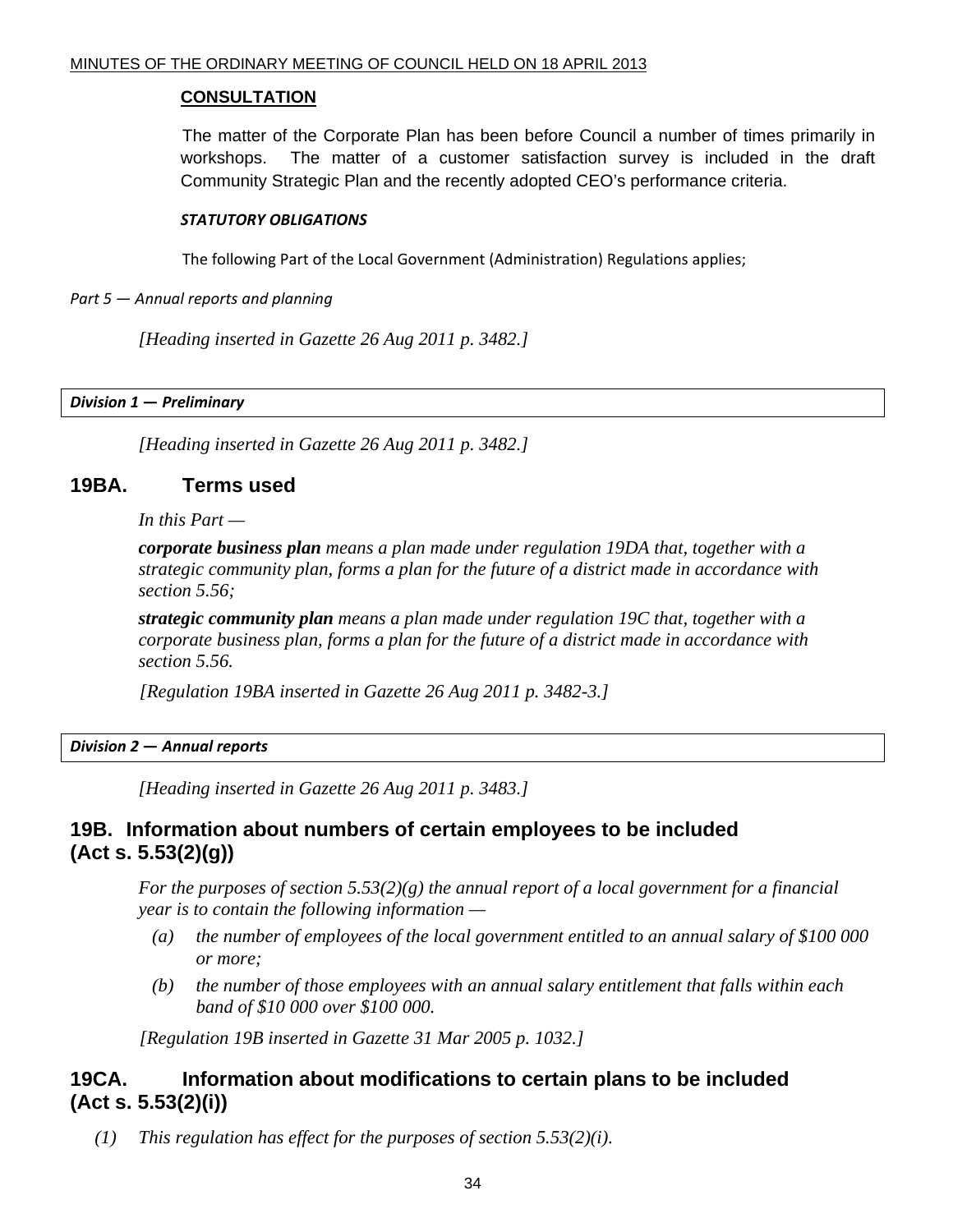#### **CONSULTATION**

 The matter of the Corporate Plan has been before Council a number of times primarily in workshops. The matter of a customer satisfaction survey is included in the draft Community Strategic Plan and the recently adopted CEO's performance criteria.

#### *STATUTORY OBLIGATIONS*

The following Part of the Local Government (Administration) Regulations applies;

*Part 5* — *Annual reports and planning*

 *[Heading inserted in Gazette 26 Aug 2011 p. 3482.]* 

*Division 1* **—** *Preliminary*

 *[Heading inserted in Gazette 26 Aug 2011 p. 3482.]* 

#### **19BA. Terms used**

 *In this Part —* 

*corporate business plan means a plan made under regulation 19DA that, together with a strategic community plan, forms a plan for the future of a district made in accordance with section 5.56;* 

*strategic community plan means a plan made under regulation 19C that, together with a corporate business plan, forms a plan for the future of a district made in accordance with section 5.56.* 

 *[Regulation 19BA inserted in Gazette 26 Aug 2011 p. 3482-3.]* 

*Division 2* **—** *Annual reports*

 *[Heading inserted in Gazette 26 Aug 2011 p. 3483.]* 

## **19B. Information about numbers of certain employees to be included (Act s. 5.53(2)(g))**

 *For the purposes of section 5.53(2)(g) the annual report of a local government for a financial year is to contain the following information —* 

- *(a) the number of employees of the local government entitled to an annual salary of \$100 000 or more;*
- *(b) the number of those employees with an annual salary entitlement that falls within each band of \$10 000 over \$100 000.*

 *[Regulation 19B inserted in Gazette 31 Mar 2005 p. 1032.]* 

## **19CA. Information about modifications to certain plans to be included (Act s. 5.53(2)(i))**

 *(1) This regulation has effect for the purposes of section 5.53(2)(i).*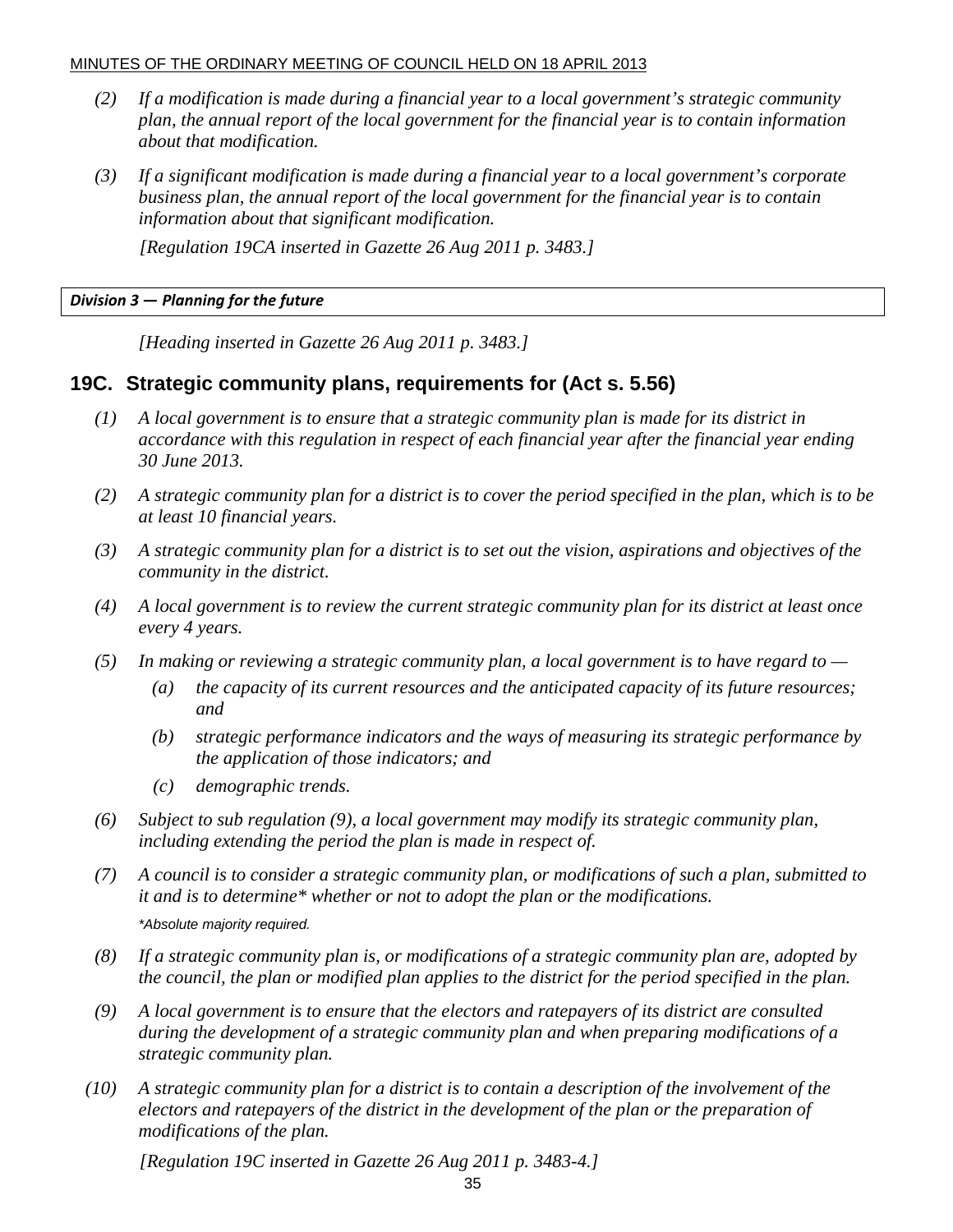- *(2) If a modification is made during a financial year to a local government's strategic community plan, the annual report of the local government for the financial year is to contain information about that modification.*
- *(3) If a significant modification is made during a financial year to a local government's corporate business plan, the annual report of the local government for the financial year is to contain information about that significant modification.*

 *[Regulation 19CA inserted in Gazette 26 Aug 2011 p. 3483.]* 

#### *Division 3* **—** *Planning for the future*

 *[Heading inserted in Gazette 26 Aug 2011 p. 3483.]* 

#### **19C. Strategic community plans, requirements for (Act s. 5.56)**

- *(1) A local government is to ensure that a strategic community plan is made for its district in accordance with this regulation in respect of each financial year after the financial year ending 30 June 2013.*
- *(2) A strategic community plan for a district is to cover the period specified in the plan, which is to be at least 10 financial years.*
- *(3) A strategic community plan for a district is to set out the vision, aspirations and objectives of the community in the district.*
- *(4) A local government is to review the current strategic community plan for its district at least once every 4 years.*
- *(5) In making or reviewing a strategic community plan, a local government is to have regard to* 
	- *(a) the capacity of its current resources and the anticipated capacity of its future resources; and*
	- *(b) strategic performance indicators and the ways of measuring its strategic performance by the application of those indicators; and*
	- *(c) demographic trends.*
- *(6) Subject to sub regulation (9), a local government may modify its strategic community plan, including extending the period the plan is made in respect of.*
- *(7) A council is to consider a strategic community plan, or modifications of such a plan, submitted to it and is to determine\* whether or not to adopt the plan or the modifications. \*Absolute majority required.*
- *(8) If a strategic community plan is, or modifications of a strategic community plan are, adopted by the council, the plan or modified plan applies to the district for the period specified in the plan.*
- *(9) A local government is to ensure that the electors and ratepayers of its district are consulted during the development of a strategic community plan and when preparing modifications of a strategic community plan.*
- *(10) A strategic community plan for a district is to contain a description of the involvement of the electors and ratepayers of the district in the development of the plan or the preparation of modifications of the plan.*

 *[Regulation 19C inserted in Gazette 26 Aug 2011 p. 3483-4.]*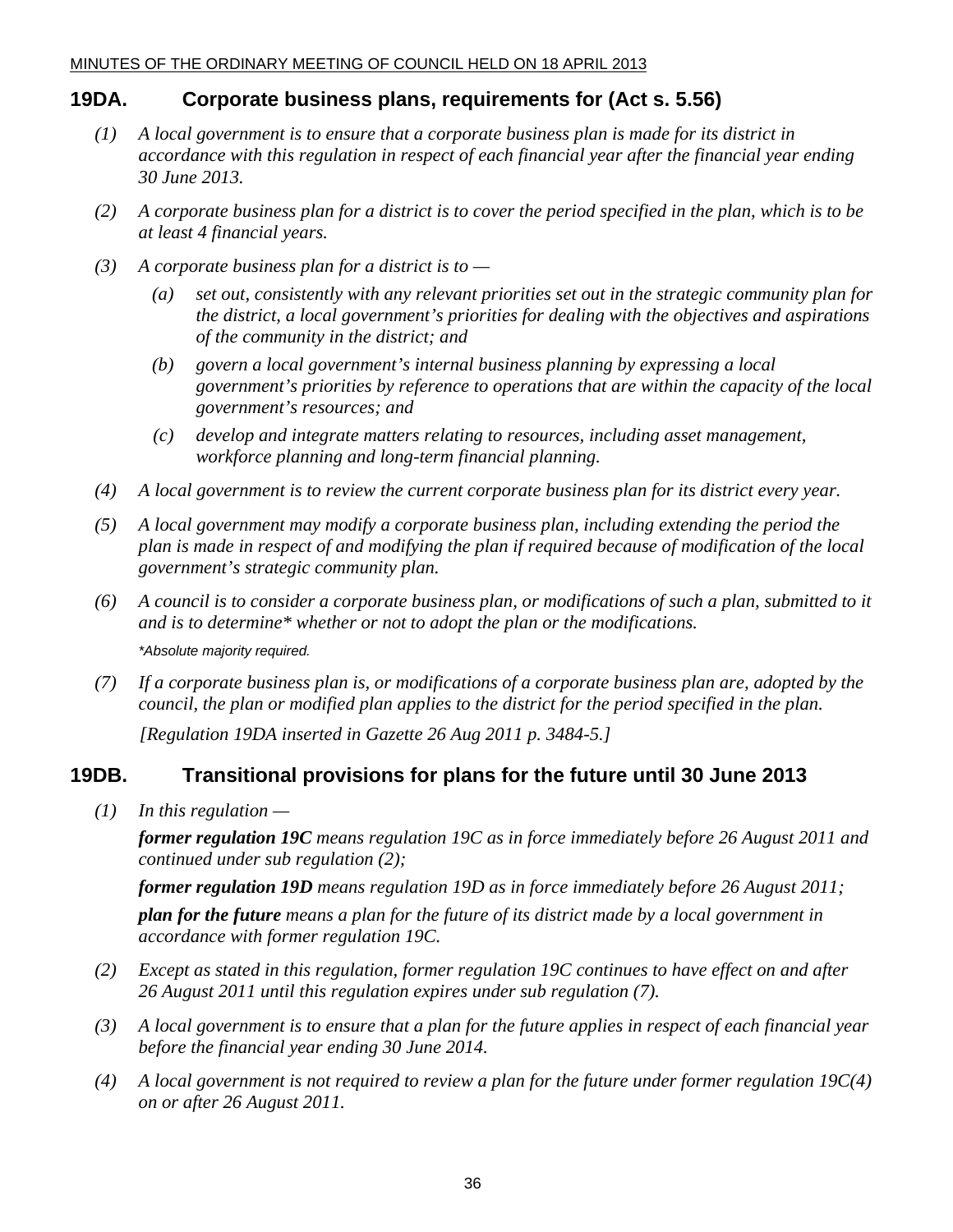## **19DA. Corporate business plans, requirements for (Act s. 5.56)**

- *(1) A local government is to ensure that a corporate business plan is made for its district in accordance with this regulation in respect of each financial year after the financial year ending 30 June 2013.*
- *(2) A corporate business plan for a district is to cover the period specified in the plan, which is to be at least 4 financial years.*
- *(3) A corporate business plan for a district is to* 
	- *(a) set out, consistently with any relevant priorities set out in the strategic community plan for the district, a local government's priorities for dealing with the objectives and aspirations of the community in the district; and*
	- *(b) govern a local government's internal business planning by expressing a local government's priorities by reference to operations that are within the capacity of the local government's resources; and*
	- *(c) develop and integrate matters relating to resources, including asset management, workforce planning and long-term financial planning.*
- *(4) A local government is to review the current corporate business plan for its district every year.*
- *(5) A local government may modify a corporate business plan, including extending the period the plan is made in respect of and modifying the plan if required because of modification of the local government's strategic community plan.*
- *(6) A council is to consider a corporate business plan, or modifications of such a plan, submitted to it and is to determine\* whether or not to adopt the plan or the modifications. \*Absolute majority required.*
- *(7) If a corporate business plan is, or modifications of a corporate business plan are, adopted by the council, the plan or modified plan applies to the district for the period specified in the plan.*

 *[Regulation 19DA inserted in Gazette 26 Aug 2011 p. 3484-5.]* 

## **19DB. Transitional provisions for plans for the future until 30 June 2013**

 *(1) In this regulation —* 

*former regulation 19C means regulation 19C as in force immediately before 26 August 2011 and continued under sub regulation (2);* 

*former regulation 19D means regulation 19D as in force immediately before 26 August 2011; plan for the future means a plan for the future of its district made by a local government in accordance with former regulation 19C.* 

- *(2) Except as stated in this regulation, former regulation 19C continues to have effect on and after 26 August 2011 until this regulation expires under sub regulation (7).*
- *(3) A local government is to ensure that a plan for the future applies in respect of each financial year before the financial year ending 30 June 2014.*
- *(4) A local government is not required to review a plan for the future under former regulation 19C(4) on or after 26 August 2011.*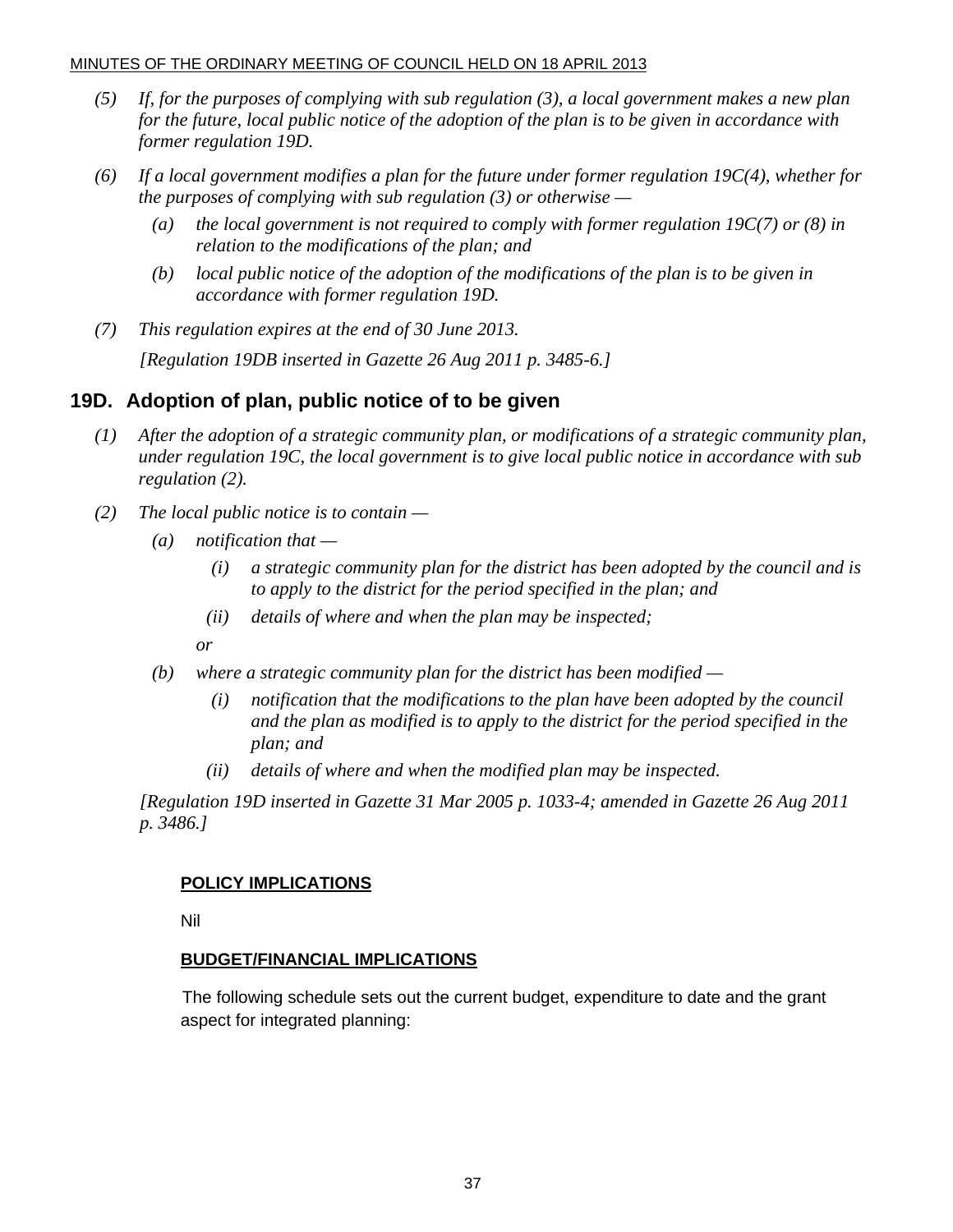- *(5) If, for the purposes of complying with sub regulation (3), a local government makes a new plan for the future, local public notice of the adoption of the plan is to be given in accordance with former regulation 19D.*
- *(6) If a local government modifies a plan for the future under former regulation 19C(4), whether for the purposes of complying with sub regulation (3) or otherwise —* 
	- *(a) the local government is not required to comply with former regulation 19C(7) or (8) in relation to the modifications of the plan; and*
	- *(b) local public notice of the adoption of the modifications of the plan is to be given in accordance with former regulation 19D.*
- *(7) This regulation expires at the end of 30 June 2013.*

 *[Regulation 19DB inserted in Gazette 26 Aug 2011 p. 3485-6.]* 

## **19D. Adoption of plan, public notice of to be given**

- *(1) After the adoption of a strategic community plan, or modifications of a strategic community plan, under regulation 19C, the local government is to give local public notice in accordance with sub regulation (2).*
- *(2) The local public notice is to contain* 
	- *(a) notification that* 
		- *(i) a strategic community plan for the district has been adopted by the council and is to apply to the district for the period specified in the plan; and*
		- *(ii) details of where and when the plan may be inspected;*
		- *or*
	- *(b) where a strategic community plan for the district has been modified* 
		- *(i) notification that the modifications to the plan have been adopted by the council and the plan as modified is to apply to the district for the period specified in the plan; and*
		- *(ii) details of where and when the modified plan may be inspected.*

 *[Regulation 19D inserted in Gazette 31 Mar 2005 p. 1033-4; amended in Gazette 26 Aug 2011 p. 3486.]* 

#### **POLICY IMPLICATIONS**

Nil

#### **BUDGET/FINANCIAL IMPLICATIONS**

The following schedule sets out the current budget, expenditure to date and the grant aspect for integrated planning: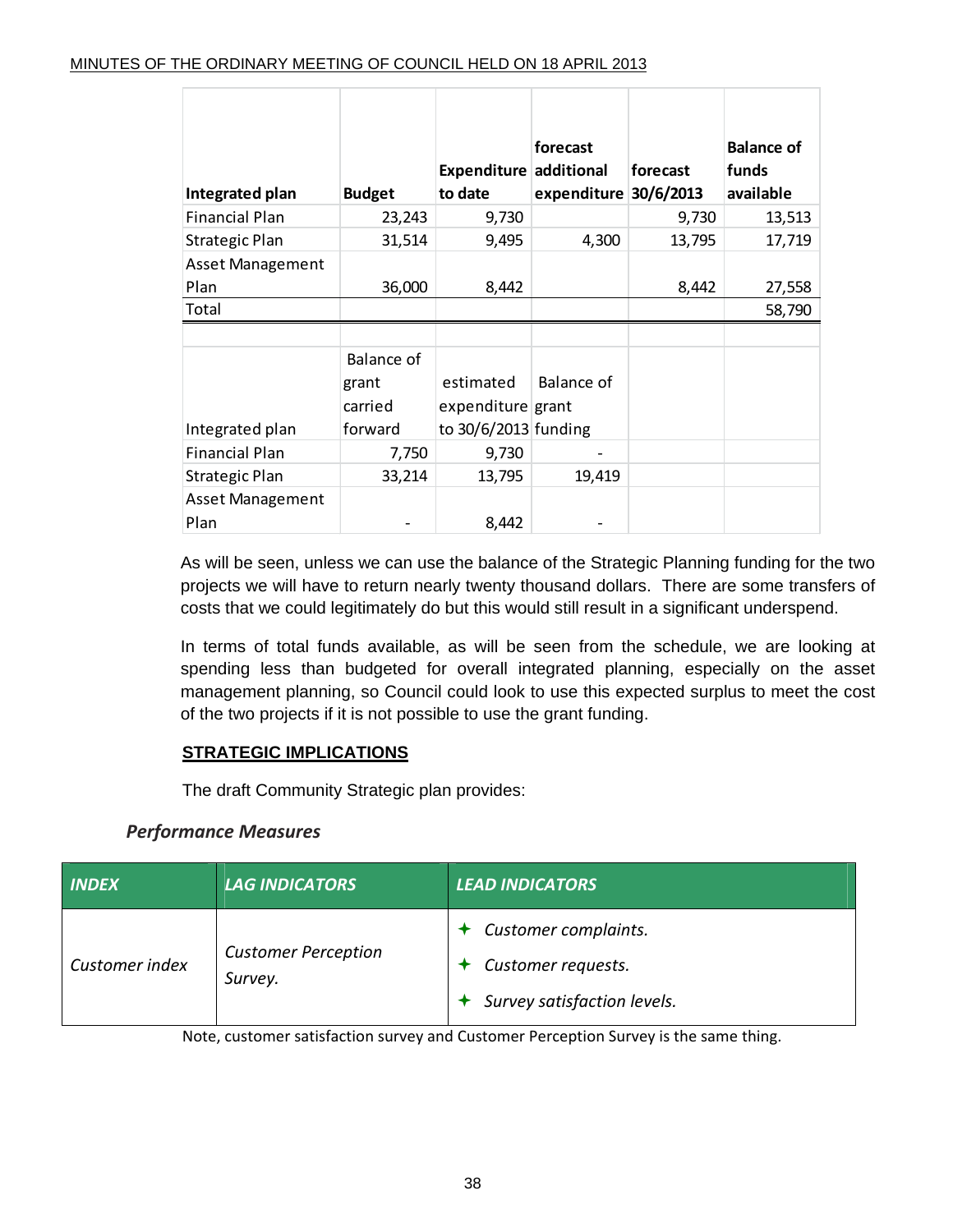|                         |                   | Expenditure additional | forecast          | forecast  | <b>Balance of</b><br>funds |
|-------------------------|-------------------|------------------------|-------------------|-----------|----------------------------|
| Integrated plan         | <b>Budget</b>     | to date                | expenditure       | 30/6/2013 | available                  |
| <b>Financial Plan</b>   | 23,243            | 9,730                  |                   | 9,730     | 13,513                     |
| Strategic Plan          | 31,514            | 9,495                  | 4,300             | 13,795    | 17,719                     |
| <b>Asset Management</b> |                   |                        |                   |           |                            |
| Plan                    | 36,000            | 8,442                  |                   | 8,442     | 27,558                     |
| Total                   |                   |                        |                   |           | 58,790                     |
|                         |                   |                        |                   |           |                            |
|                         | <b>Balance of</b> |                        |                   |           |                            |
|                         | grant             | estimated              | <b>Balance of</b> |           |                            |
|                         | carried           | expenditure grant      |                   |           |                            |
| Integrated plan         | forward           | to 30/6/2013 funding   |                   |           |                            |
| <b>Financial Plan</b>   | 7,750             | 9,730                  |                   |           |                            |
| Strategic Plan          | 33,214            | 13,795                 | 19,419            |           |                            |
| <b>Asset Management</b> |                   |                        |                   |           |                            |
| Plan                    |                   | 8,442                  |                   |           |                            |

As will be seen, unless we can use the balance of the Strategic Planning funding for the two projects we will have to return nearly twenty thousand dollars. There are some transfers of costs that we could legitimately do but this would still result in a significant underspend.

In terms of total funds available, as will be seen from the schedule, we are looking at spending less than budgeted for overall integrated planning, especially on the asset management planning, so Council could look to use this expected surplus to meet the cost of the two projects if it is not possible to use the grant funding.

## **STRATEGIC IMPLICATIONS**

The draft Community Strategic plan provides:

## *Performance Measures*

| <b>INDEX</b>   | <b>LAG INDICATORS</b>                 | <b>LEAD INDICATORS</b>                                                                    |
|----------------|---------------------------------------|-------------------------------------------------------------------------------------------|
| Customer index | <b>Customer Perception</b><br>Survey. | $\triangleleft$ Customer complaints.<br>Customer requests.<br>Survey satisfaction levels. |

Note, customer satisfaction survey and Customer Perception Survey is the same thing.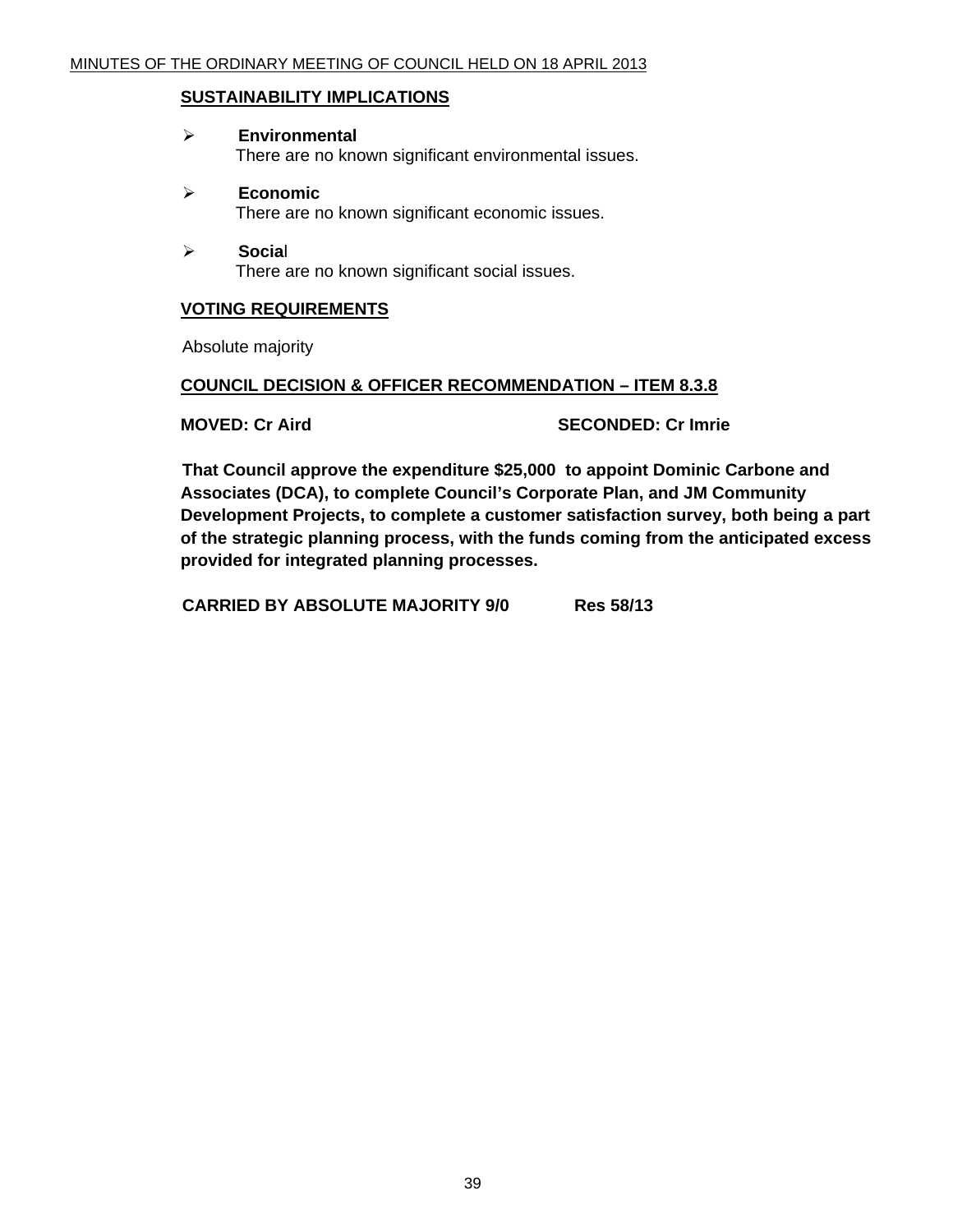#### **SUSTAINABILITY IMPLICATIONS**

- ¾ **Environmental**  There are no known significant environmental issues.
- ¾ **Economic**  There are no known significant economic issues.
- ¾ **Socia**l There are no known significant social issues.

#### **VOTING REQUIREMENTS**

Absolute majority

#### **COUNCIL DECISION & OFFICER RECOMMENDATION – ITEM 8.3.8**

**MOVED: Cr Aird SECONDED: Cr Imrie** 

**That Council approve the expenditure \$25,000 to appoint Dominic Carbone and Associates (DCA), to complete Council's Corporate Plan, and JM Community Development Projects, to complete a customer satisfaction survey, both being a part of the strategic planning process, with the funds coming from the anticipated excess provided for integrated planning processes.** 

 **CARRIED BY ABSOLUTE MAJORITY 9/0 Res 58/13**